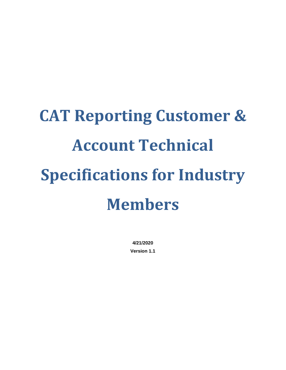# **CAT Reporting Customer & Account Technical Specifications for Industry Members**

**4/21/2020 Version 1.1**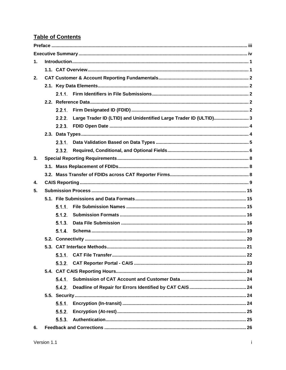# **Table of Contents**

| $\mathbf{1}$ . |        |                                                                   |  |
|----------------|--------|-------------------------------------------------------------------|--|
|                |        |                                                                   |  |
| 2.             |        |                                                                   |  |
|                |        |                                                                   |  |
|                |        |                                                                   |  |
|                |        |                                                                   |  |
|                | 2.2.1. |                                                                   |  |
|                | 2.2.2. | Large Trader ID (LTID) and Unidentified Large Trader ID (ULTID) 3 |  |
|                |        |                                                                   |  |
|                |        |                                                                   |  |
|                |        |                                                                   |  |
|                | 2.3.2. |                                                                   |  |
| 3.             |        |                                                                   |  |
|                |        |                                                                   |  |
|                |        |                                                                   |  |
| 4.             |        |                                                                   |  |
| 5.             |        |                                                                   |  |
|                |        |                                                                   |  |
|                | 5.1.1. |                                                                   |  |
|                | 5.1.2. |                                                                   |  |
|                | 5.1.3. |                                                                   |  |
|                | 5.1.4. |                                                                   |  |
|                |        |                                                                   |  |
|                |        |                                                                   |  |
|                |        |                                                                   |  |
|                |        |                                                                   |  |
|                |        |                                                                   |  |
|                | 5.4.1. |                                                                   |  |
|                | 5.4.2. |                                                                   |  |
|                |        |                                                                   |  |
|                | 5.5.1. |                                                                   |  |
|                | 5.5.2. |                                                                   |  |
|                | 5.5.3. |                                                                   |  |
| 6.             |        |                                                                   |  |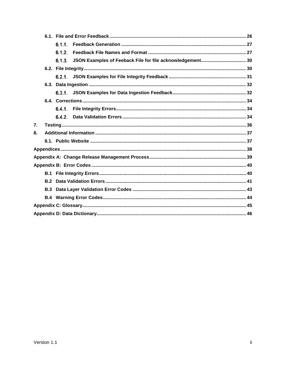|    |     | 6.1.1. |  |
|----|-----|--------|--|
|    |     | 6.1.2. |  |
|    |     |        |  |
|    |     |        |  |
|    |     |        |  |
|    |     |        |  |
|    |     |        |  |
|    |     |        |  |
|    |     |        |  |
|    |     |        |  |
| 7. |     |        |  |
| 8. |     |        |  |
|    |     |        |  |
|    |     |        |  |
|    |     |        |  |
|    |     |        |  |
|    |     |        |  |
|    |     |        |  |
|    | B.3 |        |  |
|    |     |        |  |
|    |     |        |  |
|    |     |        |  |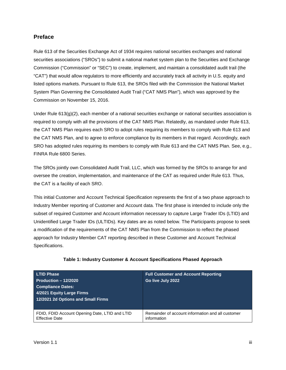#### <span id="page-3-0"></span>**Preface**

Rule 613 of the Securities Exchange Act of 1934 requires national securities exchanges and national securities associations ("SROs") to submit a national market system plan to the Securities and Exchange Commission ("Commission" or "SEC") to create, implement, and maintain a consolidated audit trail (the "CAT") that would allow regulators to more efficiently and accurately track all activity in U.S. equity and listed options markets. Pursuant to Rule 613, the SROs filed with the Commission the National Market System Plan Governing the Consolidated Audit Trail ("CAT NMS Plan"), which was approved by the Commission on November 15, 2016.

Under Rule 613(g)(2), each member of a national securities exchange or national securities association is required to comply with all the provisions of the CAT NMS Plan. Relatedly, as mandated under Rule 613, the CAT NMS Plan requires each SRO to adopt rules requiring its members to comply with Rule 613 and the CAT NMS Plan, and to agree to enforce compliance by its members in that regard. Accordingly, each SRO has adopted rules requiring its members to comply with Rule 613 and the CAT NMS Plan. See, e.g., FINRA Rule 6800 Series.

The SROs jointly own Consolidated Audit Trail, LLC, which was formed by the SROs to arrange for and oversee the creation, implementation, and maintenance of the CAT as required under Rule 613. Thus, the CAT is a facility of each SRO.

This initial Customer and Account Technical Specification represents the first of a two phase approach to Industry Member reporting of Customer and Account data. The first phase is intended to include only the subset of required Customer and Account information necessary to capture Large Trader IDs (LTID) and Unidentified Large Trader IDs (ULTIDs). Key dates are as noted below. The Participants propose to seek a modification of the requirements of the CAT NMS Plan from the Commission to reflect the phased approach for Industry Member CAT reporting described in these Customer and Account Technical Specifications.

| <b>LTID Phase</b><br>Production $-12/2020$<br><b>Compliance Dates:</b><br>4/2021 Equity Large Firms<br>12/2021 2d Options and Small Firms | <b>Full Customer and Account Reporting</b><br>Go live July 2022 |
|-------------------------------------------------------------------------------------------------------------------------------------------|-----------------------------------------------------------------|
| FDID, FDID Account Opening Date, LTID and LTID                                                                                            | Remainder of account information and all customer               |
| <b>Effective Date</b>                                                                                                                     | information                                                     |

#### **Table 1: Industry Customer & Account Specifications Phased Approach**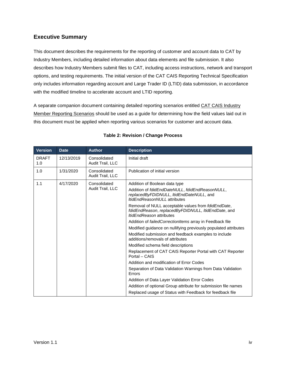# <span id="page-4-0"></span>**Executive Summary**

This document describes the requirements for the reporting of customer and account data to CAT by Industry Members, including detailed information about data elements and file submission. It also describes how Industry Members submit files to CAT, including access instructions, network and transport options, and testing requirements. The initial version of the CAT CAIS Reporting Technical Specification only includes information regarding account and Large Trader ID (LTID) data submission, in accordance with the modified timeline to accelerate account and LTID reporting.

A separate companion document containing detailed reporting scenarios entitled CAT CAIS Industry Member Reporting Scenarios should be used as a guide for determining how the field values laid out in this document must be applied when reporting various scenarios for customer and account data.

| <b>Version</b>      | <b>Date</b> | <b>Author</b>                    | <b>Description</b>                                                                                                                                    |
|---------------------|-------------|----------------------------------|-------------------------------------------------------------------------------------------------------------------------------------------------------|
| <b>DRAFT</b><br>1.0 | 12/13/2019  | Consolidated<br>Audit Trail, LLC | Initial draft                                                                                                                                         |
| 1.0                 | 1/31/2020   | Consolidated<br>Audit Trail, LLC | Publication of initial version                                                                                                                        |
| 1.1                 | 4/17/2020   | Consolidated                     | Addition of Boolean data type                                                                                                                         |
|                     |             | Audit Trail, LLC                 | Addition of fdidEndDateNULL, fdidEndReasonNULL,<br>replacedByFDIDNULL, ItidEndDateNULL, and<br><i>ItidFndReasonNUII</i> / attributes                  |
|                     |             |                                  | Removal of NULL acceptable values from <i>fdidEndDate</i> ,<br>fdidEndReason, replacedByFDIDNULL, ItidEndDate, and<br><i>ItidEndReason</i> attributes |
|                     |             |                                  | Addition of <i>failedCorrectionItems</i> array in Feedback file                                                                                       |
|                     |             |                                  | Modified guidance on nullifying previously populated attributes                                                                                       |
|                     |             |                                  | Modified submission and feedback examples to include<br>additions/removals of attributes                                                              |
|                     |             |                                  | Modified schema field descriptions                                                                                                                    |
|                     |             |                                  | Replacement of CAT CAIS Reporter Portal with CAT Reporter<br>Portal – CAIS                                                                            |
|                     |             |                                  | Addition and modification of Error Codes                                                                                                              |
|                     |             |                                  | Separation of Data Validation Warnings from Data Validation<br>Errors                                                                                 |
|                     |             |                                  | Addition of Data Layer Validation Error Codes                                                                                                         |
|                     |             |                                  | Addition of optional Group attribute for submission file names                                                                                        |
|                     |             |                                  | Replaced usage of Status with Feedback for feedback file                                                                                              |

#### **Table 2: Revision / Change Process**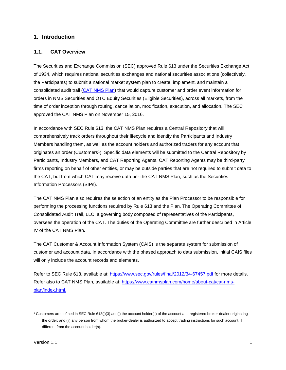#### <span id="page-5-0"></span>**1. Introduction**

#### <span id="page-5-1"></span>**1.1. CAT Overview**

The Securities and Exchange Commission (SEC) approved Rule 613 under the Securities Exchange Act of 1934, which requires national securities exchanges and national securities associations (collectively, the Participants) to submit a national market system plan to create, implement, and maintain a consolidated audit trail [\(CAT NMS Plan\)](https://www.catnmsplan.com/wp-content/uploads/2017/03/CAT-NMS-Plan-Current-as-of-7.24.17.pdf) that would capture customer and order event information for orders in NMS Securities and OTC Equity Securities (Eligible Securities), across all markets, from the time of order inception through routing, cancellation, modification, execution, and allocation. The SEC approved the CAT NMS Plan on November 15, 2016.

In accordance with SEC Rule 613, the CAT NMS Plan requires a Central Repository that will comprehensively track orders throughout their lifecycle and identify the Participants and Industry Members handling them, as well as the account holders and authorized traders for any account that originates an order (Customers[1\)](#page-5-2). Specific data elements will be submitted to the Central Repository by Participants, Industry Members, and CAT Reporting Agents. CAT Reporting Agents may be third-party firms reporting on behalf of other entities, or may be outside parties that are not required to submit data to the CAT, but from which CAT may receive data per the CAT NMS Plan, such as the Securities Information Processors (SIPs).

The CAT NMS Plan also requires the selection of an entity as the Plan Processor to be responsible for performing the processing functions required by Rule 613 and the Plan. The Operating Committee of Consolidated Audit Trail, LLC, a governing body composed of representatives of the Participants, oversees the operation of the CAT. The duties of the Operating Committee are further described in Article IV of the CAT NMS Plan.

The CAT Customer & Account Information System (CAIS) is the separate system for submission of customer and account data. In accordance with the phased approach to data submission, initial CAIS files will only include the account records and elements.

Refer to SEC Rule 613, available at:<https://www.sec.gov/rules/final/2012/34-67457.pdf> for more details. Refer also to CAT NMS Plan, available at: [https://www.catnmsplan.com/home/about-cat/cat-nms](https://www.catnmsplan.com/home/about-cat/cat-nms-plan/index.html)[plan/index.html.](https://www.catnmsplan.com/home/about-cat/cat-nms-plan/index.html)

-

<span id="page-5-2"></span> $1$  Customers are defined in SEC Rule 613(j)(3) as: (i) the account holder(s) of the account at a registered broker-dealer originating the order; and (ii) any person from whom the broker-dealer is authorized to accept trading instructions for such account, if different from the account holder(s).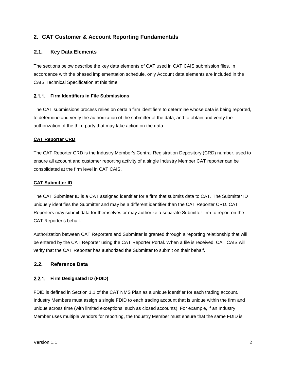# <span id="page-6-0"></span>**2. CAT Customer & Account Reporting Fundamentals**

#### <span id="page-6-1"></span>**2.1. Key Data Elements**

The sections below describe the key data elements of CAT used in CAT CAIS submission files. In accordance with the phased implementation schedule, only Account data elements are included in the CAIS Technical Specification at this time.

#### <span id="page-6-2"></span>**Firm Identifiers in File Submissions**

The CAT submissions process relies on certain firm identifiers to determine whose data is being reported, to determine and verify the authorization of the submitter of the data, and to obtain and verify the authorization of the third party that may take action on the data.

#### **CAT Reporter CRD**

The CAT Reporter CRD is the Industry Member's Central Registration Depository (CRD) number, used to ensure all account and customer reporting activity of a single Industry Member CAT reporter can be consolidated at the firm level in CAT CAIS.

#### **CAT Submitter ID**

The CAT Submitter ID is a CAT assigned identifier for a firm that submits data to CAT. The Submitter ID uniquely identifies the Submitter and may be a different identifier than the CAT Reporter CRD. CAT Reporters may submit data for themselves or may authorize a separate Submitter firm to report on the CAT Reporter's behalf.

Authorization between CAT Reporters and Submitter is granted through a reporting relationship that will be entered by the CAT Reporter using the CAT Reporter Portal. When a file is received, CAT CAIS will verify that the CAT Reporter has authorized the Submitter to submit on their behalf.

#### <span id="page-6-3"></span>**2.2. Reference Data**

#### <span id="page-6-4"></span>**Firm Designated ID (FDID)**

FDID is defined in Section 1.1 of the CAT NMS Plan as a unique identifier for each trading account. Industry Members must assign a single FDID to each trading account that is unique within the firm and unique across time (with limited exceptions, such as closed accounts). For example, if an Industry Member uses multiple vendors for reporting, the Industry Member must ensure that the same FDID is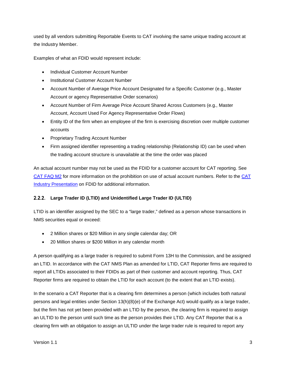used by all vendors submitting Reportable Events to CAT involving the same unique trading account at the Industry Member.

Examples of what an FDID would represent include:

- Individual Customer Account Number
- Institutional Customer Account Number
- Account Number of Average Price Account Designated for a Specific Customer (e.g., Master Account or agency Representative Order scenarios)
- Account Number of Firm Average Price Account Shared Across Customers (e.g., Master Account, Account Used For Agency Representative Order Flows)
- Entity ID of the firm when an employee of the firm is exercising discretion over multiple customer accounts
- Proprietary Trading Account Number
- Firm assigned identifier representing a trading relationship (Relationship ID) can be used when the trading account structure is unavailable at the time the order was placed

An actual account number may not be used as the FDID for a customer account for CAT reporting. See [CAT FAQ M2](https://catnmsplan.com/faq/index.html#faqFDID) for more information on the prohibition on use of actual account numbers. Refer to the [CAT](https://catnmsplan.com/wp-content/uploads/2019/04/FDID-Guidance-April-2019.pdf)  Industry Presentation [on FDID for additional information.](https://catnmsplan.com/wp-content/uploads/2019/04/FDID-Guidance-April-2019.pdf)

# <span id="page-7-0"></span>**Large Trader ID (LTID) and Unidentified Large Trader ID (ULTID)**

LTID is an identifier assigned by the SEC to a "large trader," defined as a person whose transactions in NMS securities equal or exceed:

- 2 Million shares or \$20 Million in any single calendar day; OR
- 20 Million shares or \$200 Million in any calendar month

A person qualifying as a large trader is required to submit Form 13H to the Commission, and be assigned an LTID. In accordance with the CAT NMS Plan as amended for LTID, CAT Reporter firms are required to report all LTIDs associated to their FDIDs as part of their customer and account reporting. Thus, CAT Reporter firms are required to obtain the LTID for each account (to the extent that an LTID exists).

In the scenario a CAT Reporter that is a clearing firm determines a person (which includes both natural persons and legal entities under Section 13(h)(8)(e) of the Exchange Act) would qualify as a large trader, but the firm has not yet been provided with an LTID by the person, the clearing firm is required to assign an ULTID to the person until such time as the person provides their LTID. Any CAT Reporter that is a clearing firm with an obligation to assign an ULTID under the large trader rule is required to report any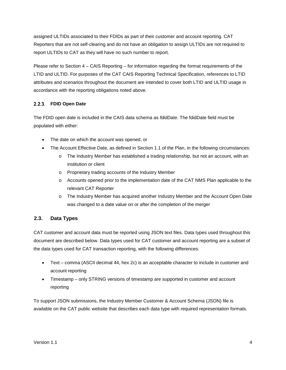assigned ULTIDs associated to their FDIDs as part of their customer and account reporting. CAT Reporters that are not self-clearing and do not have an obligation to assign ULTIDs are not required to report ULTIDs to CAT as they will have no such number to report.

Please refer to Section 4 – CAIS Reporting – for information regarding the format requirements of the LTID and ULTID. For purposes of the CAT CAIS Reporting Technical Specification, references to LTID attributes and scenarios throughout the document are intended to cover both LTID and ULTID usage in accordance with the reporting obligations noted above.

#### <span id="page-8-0"></span>**FDID Open Date**

The FDID open date is included in the CAIS data schema as *fdidDate*. The fdidDate field must be populated with either:

- The date on which the account was opened, or
- The Account Effective Date, as defined in Section 1.1 of the Plan, in the following circumstances:
	- o The Industry Member has established a trading relationship, but not an account, with an institution or client
	- o Proprietary trading accounts of the Industry Member
	- o Accounts opened prior to the implementation date of the CAT NMS Plan applicable to the relevant CAT Reporter
	- o The Industry Member has acquired another Industry Member and the Account Open Date was changed to a date value on or after the completion of the merger

# <span id="page-8-1"></span>**2.3. Data Types**

CAT customer and account data must be reported using JSON text files. Data types used throughout this document are described below. Data types used for CAT customer and account reporting are a subset of the data types used for CAT transaction reporting, with the following differences:

- Text comma (ASCII decimal 44, hex 2c) is an acceptable character to include in customer and account reporting
- Timestamp only STRING versions of timestamp are supported in customer and account reporting

To support JSON submissions, the [Industry](https://catnmsplan.com/technical-specifications/index.html) Member Customer & Account Schema (JSON) file is available on the CAT public website that describes each data type with required representation formats.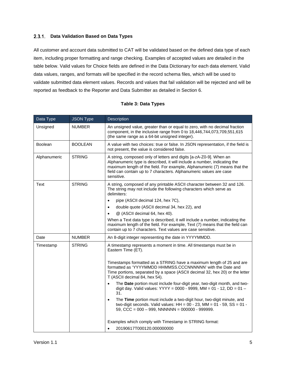#### <span id="page-9-0"></span>**Data Validation Based on Data Types**

All customer and account data submitted to CAT will be validated based on the defined data type of each item, including proper formatting and range checking. Examples of accepted values are detailed in the table below. Valid values for Choice fields are defined in the Data Dictionary for each data element. Valid data values, ranges, and formats will be specified in the record schema files, which will be used to validate submitted data element values. Records and values that fail validation will be rejected and will be reported as feedback to the Reporter and Data Submitter as detailed in Section 6.

|  |  |  | <b>Table 3: Data Types</b> |
|--|--|--|----------------------------|
|--|--|--|----------------------------|

<span id="page-9-1"></span>

| Data Type      | <b>JSON Type</b> | Description                                                                                                                                                                                                                                                                                                     |  |  |  |  |
|----------------|------------------|-----------------------------------------------------------------------------------------------------------------------------------------------------------------------------------------------------------------------------------------------------------------------------------------------------------------|--|--|--|--|
| Unsigned       | <b>NUMBER</b>    | An unsigned value, greater than or equal to zero, with no decimal fraction<br>component, in the inclusive range from 0 to 18,446,744,073,709,551,615<br>(the same range as a 64-bit unsigned integer).                                                                                                          |  |  |  |  |
| <b>Boolean</b> | <b>BOOLEAN</b>   | A value with two choices: true or false. In JSON representation, if the field is<br>not present, the value is considered false.                                                                                                                                                                                 |  |  |  |  |
| Alphanumeric   | <b>STRING</b>    | A string, composed only of letters and digits [a-zA-Z0-9]. When an<br>Alphanumeric type is described, it will include a number, indicating the<br>maximum length of the field. For example, Alphanumeric (7) means that the<br>field can contain up to 7 characters. Alphanumeric values are case<br>sensitive. |  |  |  |  |
| <b>Text</b>    | <b>STRING</b>    | A string, composed of any printable ASCII character between 32 and 126.<br>The string may not include the following characters which serve as<br>delimiters:                                                                                                                                                    |  |  |  |  |
|                |                  | pipe (ASCII decimal 124, hex 7C),<br>$\bullet$                                                                                                                                                                                                                                                                  |  |  |  |  |
|                |                  | double quote (ASCII decimal 34, hex 22), and<br>$\bullet$                                                                                                                                                                                                                                                       |  |  |  |  |
|                |                  | @ (ASCII decimal 64, hex 40).<br>$\bullet$                                                                                                                                                                                                                                                                      |  |  |  |  |
|                |                  | When a Text data type is described, it will include a number, indicating the<br>maximum length of the field. For example, Text (7) means that the field can<br>contain up to 7 characters. Text values are case sensitive.                                                                                      |  |  |  |  |
| Date           | <b>NUMBER</b>    | An 8-digit integer representing the date in YYYYMMDD.                                                                                                                                                                                                                                                           |  |  |  |  |
| Timestamp      | <b>STRING</b>    | A timestamp represents a moment in time. All timestamps must be in<br>Eastern Time (ET).                                                                                                                                                                                                                        |  |  |  |  |
|                |                  | Timestamps formatted as a STRING have a maximum length of 25 and are<br>formatted as 'YYYYMMDD HHMMSS.CCCNNNNNN' with the Date and<br>Time portions, separated by a space (ASCII decimal 32, hex 20) or the letter<br>T (ASCII decimal 84, hex 54).                                                             |  |  |  |  |
|                |                  | The Date portion must include four-digit year, two-digit month, and two-<br>$\bullet$<br>digit day. Valid values: YYYY = 0000 - 9999, MM = 01 - 12, DD = 01 -<br>31.                                                                                                                                            |  |  |  |  |
|                |                  | The Time portion must include a two-digit hour, two-digit minute, and<br>$\bullet$<br>two-digit seconds. Valid values: $HH = 00 - 23$ , $MM = 01 - 59$ , $SS = 01 -$<br>59, $CCC = 000 - 999$ , NNNNNN = 000000 - 999999.                                                                                       |  |  |  |  |
|                |                  | Examples which comply with Timestamp in STRING format:                                                                                                                                                                                                                                                          |  |  |  |  |
|                |                  | 20190617T000120.000000000                                                                                                                                                                                                                                                                                       |  |  |  |  |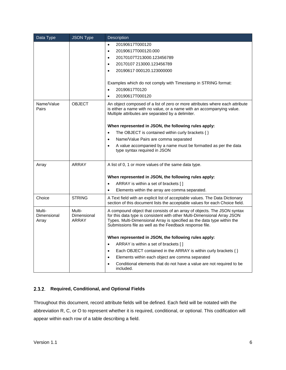| Data Type                      | <b>JSON Type</b>               | Description                                                                                                                                                                                                                                                                               |
|--------------------------------|--------------------------------|-------------------------------------------------------------------------------------------------------------------------------------------------------------------------------------------------------------------------------------------------------------------------------------------|
|                                |                                | 20190617T000120<br>$\bullet$                                                                                                                                                                                                                                                              |
|                                |                                | 20190617T000120.000<br>$\bullet$                                                                                                                                                                                                                                                          |
|                                |                                | 20170107T213000.123456789<br>$\bullet$                                                                                                                                                                                                                                                    |
|                                |                                | 20170107 213000.123456789<br>$\bullet$                                                                                                                                                                                                                                                    |
|                                |                                | 20190617 000120.123000000<br>$\bullet$                                                                                                                                                                                                                                                    |
|                                |                                | Examples which do not comply with Timestamp in STRING format:                                                                                                                                                                                                                             |
|                                |                                | 20190617T0120<br>$\bullet$                                                                                                                                                                                                                                                                |
|                                |                                | 20190617T000120<br>$\bullet$                                                                                                                                                                                                                                                              |
| Name/Value<br>Pairs            | <b>OBJECT</b>                  | An object composed of a list of zero or more attributes where each attribute<br>is either a name with no value, or a name with an accompanying value.<br>Multiple attributes are separated by a delimiter.                                                                                |
|                                |                                | When represented in JSON, the following rules apply:                                                                                                                                                                                                                                      |
|                                |                                | The OBJECT is contained within curly brackets $\{\}$<br>$\bullet$                                                                                                                                                                                                                         |
|                                |                                | Name/Value Pairs are comma separated<br>$\bullet$                                                                                                                                                                                                                                         |
|                                |                                | A value accompanied by a name must be formatted as per the data<br>$\bullet$<br>type syntax required in JSON                                                                                                                                                                              |
| Array                          | ARRAY                          | A list of 0, 1 or more values of the same data type.                                                                                                                                                                                                                                      |
|                                |                                | When represented in JSON, the following rules apply:                                                                                                                                                                                                                                      |
|                                |                                | ARRAY is within a set of brackets []                                                                                                                                                                                                                                                      |
|                                |                                | Elements within the array are comma separated.<br>$\bullet$                                                                                                                                                                                                                               |
| Choice                         | <b>STRING</b>                  | A Text field with an explicit list of acceptable values. The Data Dictionary<br>section of this document lists the acceptable values for each Choice field.                                                                                                                               |
| Multi-<br>Dimensional<br>Array | Multi-<br>Dimensional<br>ARRAY | A compound object that consists of an array of objects. The JSON syntax<br>for this data type is consistent with other Multi-Dimensional Array JSON<br>Types. Multi-Dimensional Array is specified as the data type within the<br>Submissions file as well as the Feedback response file. |
|                                |                                | When represented in JSON, the following rules apply:                                                                                                                                                                                                                                      |
|                                |                                | ARRAY is within a set of brackets []<br>$\bullet$                                                                                                                                                                                                                                         |
|                                |                                | Each OBJECT contained in the ARRAY is within curly brackets { }<br>$\bullet$                                                                                                                                                                                                              |
|                                |                                | Elements within each object are comma separated<br>$\bullet$                                                                                                                                                                                                                              |
|                                |                                | Conditional elements that do not have a value are not required to be<br>$\bullet$<br>included.                                                                                                                                                                                            |

#### <span id="page-10-0"></span>**Required, Conditional, and Optional Fields**

Throughout this document, record attribute fields will be defined. Each field will be notated with the abbreviation R, C, or O to represent whether it is required, conditional, or optional. This codification will appear within each row of a table describing a field.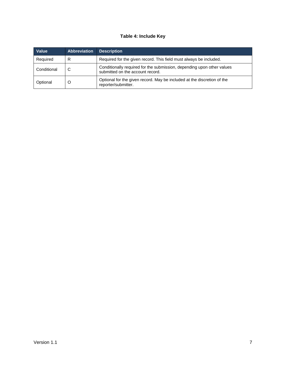#### **Table 4: Include Key**

| Value       | <b>Abbreviation</b> | <b>Description</b>                                                                                         |
|-------------|---------------------|------------------------------------------------------------------------------------------------------------|
| Required    | R                   | Required for the given record. This field must always be included.                                         |
| Conditional | C                   | Conditionally required for the submission, depending upon other values<br>submitted on the account record. |
| Optional    | $\circ$             | Optional for the given record. May be included at the discretion of the<br>reporter/submitter.             |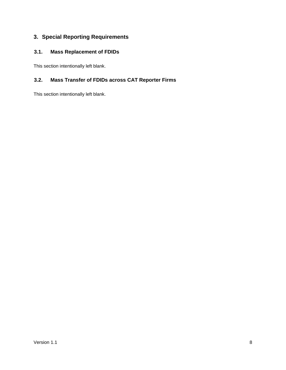# <span id="page-12-0"></span>**3. Special Reporting Requirements**

# <span id="page-12-1"></span>**3.1. Mass Replacement of FDIDs**

This section intentionally left blank.

# <span id="page-12-2"></span>**3.2. Mass Transfer of FDIDs across CAT Reporter Firms**

This section intentionally left blank.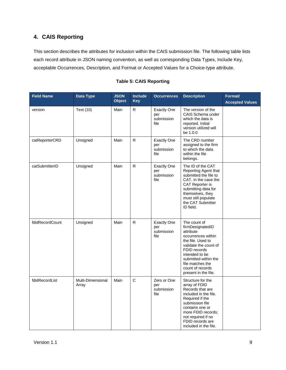# <span id="page-13-0"></span>**4. CAIS Reporting**

This section describes the attributes for inclusion within the CAIS submission file. The following table lists each record attribute in JSON naming convention, as well as corresponding Data Types, Include Key, acceptable Occurrences, Description, and Format or Accepted Values for a Choice-type attribute.

| <b>Field Name</b> | Data Type                  | <b>JSON</b><br><b>Object</b> | Include<br><b>Key</b> | <b>Occurrences</b>                              | <b>Description</b>                                                                                                                                                                                                                          | Format/<br><b>Accepted Values</b> |
|-------------------|----------------------------|------------------------------|-----------------------|-------------------------------------------------|---------------------------------------------------------------------------------------------------------------------------------------------------------------------------------------------------------------------------------------------|-----------------------------------|
| version           | <b>Text (10)</b>           | Main                         | R.                    | <b>Exactly One</b><br>per<br>submission<br>file | The version of the<br>CAIS Schema under<br>which the data is<br>reported. Initial<br>version utilized will<br>be 1.0.0                                                                                                                      |                                   |
| catReporterCRD    | Unsigned                   | Main                         | $\mathsf{R}$          | <b>Exactly One</b><br>per<br>submission<br>file | The CRD number<br>assigned to the firm<br>to which the data<br>within the file<br>belongs.                                                                                                                                                  |                                   |
| catSubmitterID    | Unsigned                   | Main                         | R.                    | <b>Exactly One</b><br>per<br>submission<br>file | The ID of the CAT<br>Reporting Agent that<br>submitted the file to<br>CAT. In the case the<br>CAT Reporter is<br>submitting data for<br>themselves, they<br>must still populate<br>the CAT Submitter<br>ID field.                           |                                   |
| fdidRecordCount   | Unsigned                   | Main                         | $\mathsf R$           | <b>Exactly One</b><br>per<br>submission<br>file | The count of<br>firmDesignatedID<br>attribute<br>occurrences within<br>the file. Used to<br>validate the count of<br>FDID records<br>intended to be<br>submitted within the<br>file matches the<br>count of records<br>present in the file. |                                   |
| fdidRecordList    | Multi-Dimensional<br>Array | Main                         | $\mathsf{C}$          | Zero or One<br>per<br>submission<br>file        | Structure for the<br>array of FDID<br>Records that are<br>included in the file.<br>Required if the<br>submission file<br>contains one or<br>more FDID records;<br>not required if no<br>FDID records are<br>included in the file.           |                                   |

#### **Table 5: CAIS Reporting**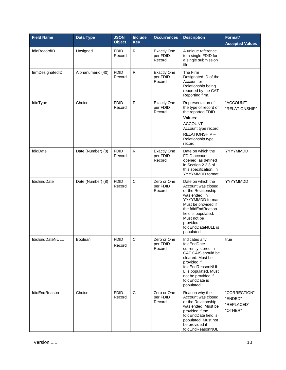| <b>Field Name</b> | Data Type         | <b>JSON</b><br><b>Object</b> | <b>Include</b><br><b>Key</b> | <b>Occurrences</b>                       | <b>Description</b>                                                                                                                                                                                                                       | <b>Format/</b><br><b>Accepted Values</b>         |
|-------------------|-------------------|------------------------------|------------------------------|------------------------------------------|------------------------------------------------------------------------------------------------------------------------------------------------------------------------------------------------------------------------------------------|--------------------------------------------------|
| fdidRecordID      | Unsigned          | <b>FDID</b><br>Record        | $\mathsf R$                  | <b>Exactly One</b><br>per FDID<br>Record | A unique reference<br>to a single FDID for<br>a single submission<br>file.                                                                                                                                                               |                                                  |
| firmDesignatedID  | Alphanumeric (40) | <b>FDID</b><br>Record        | R                            | <b>Exactly One</b><br>per FDID<br>Record | The Firm<br>Designated ID of the<br>Account or<br>Relationship being<br>reported by the CAT<br>Reporting firm.                                                                                                                           |                                                  |
| fdidType          | Choice            | <b>FDID</b><br>Record        | $\mathsf{R}$                 | <b>Exactly One</b><br>per FDID<br>Record | Representation of<br>the type of record of<br>the reported FDID.<br>Values:<br>ACCOUNT-<br>Account type record<br>RELATIONSHIP-<br>Relationship type<br>record                                                                           | "ACCOUNT"<br>"RELATIONSHIP"                      |
| fdidDate          | Date (Number) (8) | <b>FDID</b><br>Record        | $\mathsf R$                  | <b>Exactly One</b><br>per FDID<br>Record | Date on which the<br>FDID account<br>opened, as defined<br>in Section 2.2.3 of<br>this specification, in<br>YYYYMMDD format.                                                                                                             | YYYYMMDD                                         |
| fdidEndDate       | Date (Number) (8) | <b>FDID</b><br>Record        | $\mathsf C$                  | Zero or One<br>per FDID<br>Record        | Date on which the<br>Account was closed<br>or the Relationship<br>was ended, in<br>YYYYMMDD format.<br>Must be provided if<br>the fdidEndReason<br>field is populated.<br>Must not be<br>provided if<br>fdidEndDateNULL is<br>populated. | YYYYMMDD                                         |
| fdidEndDateNULL   | Boolean           | <b>FDID</b><br>Record        | C                            | Zero or One<br>per FDID<br>Record        | Indicates any<br>fdidEndDate<br>currently stored in<br>CAT CAIS should be<br>cleared. Must be<br>provided if<br>fdidEndReasonNUL<br>L is populated. Must<br>not be provided if<br>fdidEndDate is<br>populated.                           | true                                             |
| fdidEndReason     | Choice            | <b>FDID</b><br>Record        | $\mathsf C$                  | Zero or One<br>per FDID<br>Record        | Reason why the<br>Account was closed<br>or the Relationship<br>was ended. Must be<br>provided if the<br>fdidEndDate field is<br>populated. Must not<br>be provided if<br>fdidEndReasonNUL                                                | "CORRECTION"<br>"ENDED"<br>"REPLACED"<br>"OTHER" |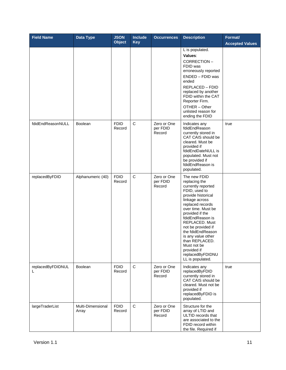| <b>Field Name</b>      | Data Type                  | <b>JSON</b><br><b>Object</b> | <b>Include</b><br><b>Key</b> | <b>Occurrences</b>                | <b>Description</b>                                                                                                                                                                                                                                                                                                                                                       | Format/<br><b>Accepted Values</b> |
|------------------------|----------------------------|------------------------------|------------------------------|-----------------------------------|--------------------------------------------------------------------------------------------------------------------------------------------------------------------------------------------------------------------------------------------------------------------------------------------------------------------------------------------------------------------------|-----------------------------------|
|                        |                            |                              |                              |                                   | L is populated.<br>Values:<br>CORRECTION-<br>FDID was<br>erroneously reported<br>ENDED - FDID was<br>ended<br>REPLACED - FDID<br>replaced by another<br>FDID within the CAT<br>Reporter Firm.<br>OTHER - Other<br>unlisted reason for                                                                                                                                    |                                   |
| fdidEndReasonNULL      | Boolean                    | <b>FDID</b><br>Record        | C                            | Zero or One<br>per FDID<br>Record | ending the FDID<br>Indicates any<br>fdidEndReason<br>currently stored in<br>CAT CAIS should be<br>cleared. Must be<br>provided if<br>fdidEndDateNULL is<br>populated. Must not<br>be provided if<br>fdidEndReason is<br>populated.                                                                                                                                       | true                              |
| replacedByFDID         | Alphanumeric (40)          | <b>FDID</b><br>Record        | $\mathsf C$                  | Zero or One<br>per FDID<br>Record | The new FDID<br>replacing the<br>currently reported<br>FDID, used to<br>provide historical<br>linkage across<br>replaced records<br>over time. Must be<br>provided if the<br>fdidEndReason is<br>REPLACED. Must<br>not be provided if<br>the fdidEndReason<br>is any value other<br>than REPLACED.<br>Must not be<br>provided if<br>replacedByFDIDNU<br>LL is populated. |                                   |
| replacedByFDIDNUL<br>L | <b>Boolean</b>             | <b>FDID</b><br>Record        | $\mathsf C$                  | Zero or One<br>per FDID<br>Record | Indicates any<br>replacedByFDID<br>currently stored in<br>CAT CAIS should be<br>cleared. Must not be<br>provided if<br>replacedByFDID is<br>populated.                                                                                                                                                                                                                   | true                              |
| largeTraderList        | Multi-Dimensional<br>Array | <b>FDID</b><br>Record        | $\mathsf C$                  | Zero or One<br>per FDID<br>Record | Structure for the<br>array of LTID and<br>ULTID records that<br>are associated to the<br>FDID record within<br>the file. Required if                                                                                                                                                                                                                                     |                                   |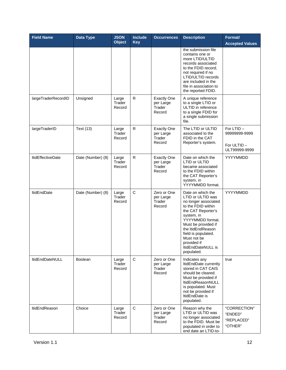| <b>Field Name</b>        | Data Type         | <b>JSON</b><br><b>Object</b> | <b>Include</b><br><b>Key</b> | <b>Occurrences</b>                                  | <b>Description</b>                                                                                                                                                                                                                                                                | Format/<br><b>Accepted Values</b>                         |
|--------------------------|-------------------|------------------------------|------------------------------|-----------------------------------------------------|-----------------------------------------------------------------------------------------------------------------------------------------------------------------------------------------------------------------------------------------------------------------------------------|-----------------------------------------------------------|
|                          |                   |                              |                              |                                                     | the submission file<br>contains one or<br>more LTID/ULTID<br>records associated<br>to the FDID record:<br>not required if no<br>LTID/ULTID records<br>are included in the<br>file in association to<br>the reported FDID.                                                         |                                                           |
| largeTraderRecordID      | Unsigned          | Large<br>Trader<br>Record    | R                            | <b>Exactly One</b><br>per Large<br>Trader<br>Record | A unique reference<br>to a single LTID or<br>ULTID in reference<br>to a single FDID for<br>a single submission<br>file.                                                                                                                                                           |                                                           |
| largeTraderID            | <b>Text (13)</b>  | Large<br>Trader<br>Record    | $\mathsf R$                  | <b>Exactly One</b><br>per Large<br>Trader<br>Record | The LTID or ULTID<br>associated to the<br>FDID in the CAT<br>Reporter's system.                                                                                                                                                                                                   | For LTID-<br>99999999-9999<br>For ULTID-<br>ULT99999-9999 |
| <b>ItidEffectiveDate</b> | Date (Number) (8) | Large<br>Trader<br>Record    | R                            | <b>Exactly One</b><br>per Large<br>Trader<br>Record | Date on which the<br>LTID or ULTID<br>became associated<br>to the FDID within<br>the CAT Reporter's<br>system, in<br>YYYYMMDD format.                                                                                                                                             | YYYYMMDD                                                  |
| <b>ItidEndDate</b>       | Date (Number) (8) | Large<br>Trader<br>Record    | $\mathsf C$                  | Zero or One<br>per Large<br>Trader<br>Record        | Date on which the<br>LTID or ULTID was<br>no longer associated<br>to the FDID within<br>the CAT Reporter's<br>system, in<br>YYYYMMDD format.<br>Must be provided if<br>the ItidEndReason<br>field is populated.<br>Must not be<br>provided if<br>ItidEndDateNULL is<br>populated. | YYYYMMDD                                                  |
| ItidEndDateNULL          | Boolean           | Large<br>Trader<br>Record    | $\mathbf C$                  | Zero or One<br>per Large<br>Trader<br>Record        | Indicates any<br>ItidEndDate currently<br>stored in CAT CAIS<br>should be cleared.<br>Must be provided if<br>ItidEndReasonNULL<br>is populated. Must<br>not be provided if<br>ItidEndDate is<br>populated.                                                                        | true                                                      |
| ltidEndReason            | Choice            | Large<br>Trader<br>Record    | $\mathbf C$                  | Zero or One<br>per Large<br>Trader<br>Record        | Reason why the<br>LTID or ULTID was<br>no longer associated<br>to the FDID. Must be<br>populated in order to<br>end date an LTID-to-                                                                                                                                              | "CORRECTION"<br>"ENDED"<br>"REPLACED"<br>"OTHER"          |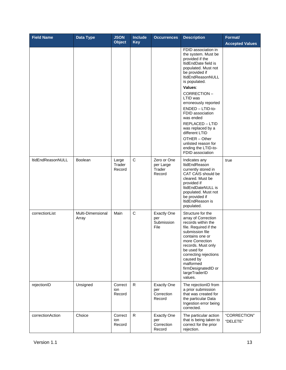| <b>Field Name</b> | Data Type                  | <b>JSON</b><br><b>Object</b> | <b>Include</b><br><b>Key</b> | <b>Occurrences</b>                                | <b>Description</b>                                                                                                                                                                                                                                                                          | Format/<br><b>Accepted Values</b> |
|-------------------|----------------------------|------------------------------|------------------------------|---------------------------------------------------|---------------------------------------------------------------------------------------------------------------------------------------------------------------------------------------------------------------------------------------------------------------------------------------------|-----------------------------------|
|                   |                            |                              |                              |                                                   | FDID association in<br>the system. Must be<br>provided if the<br>ItidEndDate field is<br>populated. Must not<br>be provided if<br>ltidEndReasonNULL<br>is populated.<br>Values:                                                                                                             |                                   |
|                   |                            |                              |                              |                                                   | CORRECTION-<br>LTID was<br>erroneously reported<br>ENDED - LTID-to-<br>FDID association<br>was ended                                                                                                                                                                                        |                                   |
|                   |                            |                              |                              |                                                   | REPLACED - LTID<br>was replaced by a<br>different LTID<br>OTHER - Other<br>unlisted reason for<br>ending the LTID-to-<br>FDID association                                                                                                                                                   |                                   |
| ltidEndReasonNULL | Boolean                    | Large<br>Trader<br>Record    | $\mathbf C$                  | Zero or One<br>per Large<br>Trader<br>Record      | Indicates any<br>ltidEndReason<br>currently stored in<br>CAT CAIS should be<br>cleared. Must be<br>provided if<br>ItidEndDateNULL is<br>populated. Must not<br>be provided if<br>ItidEndReason is<br>populated.                                                                             | true                              |
| correctionList    | Multi-Dimensional<br>Array | Main                         | $\mathbf C$                  | <b>Exactly One</b><br>per<br>Submission<br>File   | Structure for the<br>array of Correction<br>records within the<br>file. Required if the<br>submission file<br>contains one or<br>more Correction<br>records. Must only<br>be used for<br>correcting rejections<br>caused by<br>malformed<br>firmDesignatedID or<br>largeTraderID<br>values. |                                   |
| rejectionID       | Unsigned                   | Correct<br>ion<br>Record     | $\mathsf{R}$                 | <b>Exactly One</b><br>per<br>Correction<br>Record | The rejectionID from<br>a prior submission<br>that was created for<br>the particular Data<br>Ingestion error being<br>corrected.                                                                                                                                                            |                                   |
| correctionAction  | Choice                     | Correct<br>ion<br>Record     | $\mathsf{R}$                 | <b>Exactly One</b><br>per<br>Correction<br>Record | The particular action<br>that is being taken to<br>correct for the prior<br>rejection.                                                                                                                                                                                                      | "CORRECTION"<br>"DELETE"          |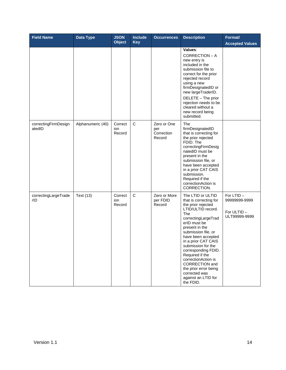| <b>Field Name</b>              | Data Type         | <b>JSON</b><br><b>Object</b> | <b>Include</b><br><b>Key</b> | <b>Occurrences</b>                         | <b>Description</b>                                                                                                                                                                                                                                                                                                                                                                                                        | Format/<br><b>Accepted Values</b>                         |
|--------------------------------|-------------------|------------------------------|------------------------------|--------------------------------------------|---------------------------------------------------------------------------------------------------------------------------------------------------------------------------------------------------------------------------------------------------------------------------------------------------------------------------------------------------------------------------------------------------------------------------|-----------------------------------------------------------|
|                                |                   |                              |                              |                                            | Values:<br>CORRECTION - A<br>new entry is<br>included in the<br>submission file to<br>correct for the prior<br>rejected record<br>using a new<br>firmDesignatedID or<br>new largeTraderID.<br>DELETE - The prior<br>rejection needs to be<br>cleared without a<br>new record being<br>submitted.                                                                                                                          |                                                           |
| correctingFirmDesign<br>atedID | Alphanumeric (40) | Correct<br>ion<br>Record     | C                            | Zero or One<br>per<br>Correction<br>Record | The<br>firmDesignatedID<br>that is correcting for<br>the prior rejected<br>FDID. The<br>correctingFirmDesig<br>natedID must be<br>present in the<br>submission file, or<br>have been accepted<br>in a prior CAT CAIS<br>submission.<br>Required if the<br>correctionAction is<br>CORRECTION.                                                                                                                              |                                                           |
| correctingLargeTrade<br>rID    | Text (13)         | Correct<br>ion<br>Record     | $\mathsf C$                  | Zero or More<br>per FDID<br>Record         | The LTID or ULTID<br>that is correcting for<br>the prior rejected<br>LTID/ULTID record.<br>The<br>correctingLargeTrad<br>erID must be<br>present in the<br>submission file, or<br>have been accepted<br>in a prior CAT CAIS<br>submission for the<br>corresponding FDID.<br>Required if the<br>correctionAction is<br><b>CORRECTION</b> and<br>the prior error being<br>corrected was<br>against an LTID for<br>the FDID. | For LTID-<br>99999999-9999<br>For ULTID-<br>ULT99999-9999 |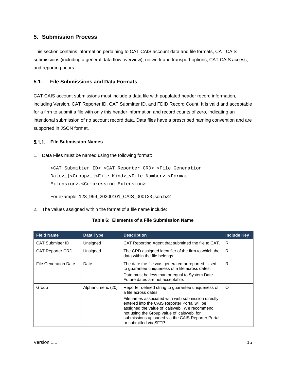# <span id="page-19-0"></span>**5. Submission Process**

This section contains information pertaining to CAT CAIS account data and file formats, CAT CAIS submissions (including a general data flow overview), network and transport options, CAT CAIS access, and reporting hours.

#### <span id="page-19-1"></span>**5.1. File Submissions and Data Formats**

CAT CAIS account submissions must include a data file with populated header record information, including Version, CAT Reporter ID, CAT Submitter ID, and FDID Record Count. It is valid and acceptable for a firm to submit a file with only this header information and record counts of zero, indicating an intentional submission of no account record data. Data files have a prescribed naming convention and are supported in JSON format.

#### <span id="page-19-2"></span>**File Submission Names**

1. Data Files must be named using the following format:

```
<CAT Submitter ID>_<CAT Reporter CRD>_<File Generation 
Date>_[<Group>_]<File Kind>_<File Number>.<Format 
Extension>.<Compression Extension>
```
For example: 123\_999\_20200101\_CAIS\_000123.json.bz2

2. The values assigned within the format of a file name include:

|  |  |  |  | Table 6: Elements of a File Submission Name |  |
|--|--|--|--|---------------------------------------------|--|
|--|--|--|--|---------------------------------------------|--|

| <b>Field Name</b>       | Data Type         | <b>Description</b>                                                                                                                                                                                                                                                                                                                                             | <b>Include Key</b> |
|-------------------------|-------------------|----------------------------------------------------------------------------------------------------------------------------------------------------------------------------------------------------------------------------------------------------------------------------------------------------------------------------------------------------------------|--------------------|
| CAT Submitter ID        | Unsigned          | CAT Reporting Agent that submitted the file to CAT.                                                                                                                                                                                                                                                                                                            | R                  |
| <b>CAT Reporter CRD</b> | Unsigned          | The CRD assigned identifier of the firm to which the<br>data within the file belongs.                                                                                                                                                                                                                                                                          | R                  |
| File Generation Date    | Date              | The date the file was generated or reported. Used<br>to guarantee uniqueness of a file across dates.<br>Date must be less than or equal to System Date.<br>Future dates are not acceptable.                                                                                                                                                                    | R                  |
| Group                   | Alphanumeric (20) | Reporter defined string to guarantee uniqueness of<br>a file across dates.<br>Filenames associated with web submission directly<br>entered into the CAIS Reporter Portal will be<br>assigned the value of 'caisweb'. We recommend<br>not using the Group value of 'caisweb' for<br>submissions uploaded via the CAIS Reporter Portal<br>or submitted via SFTP. | Ω                  |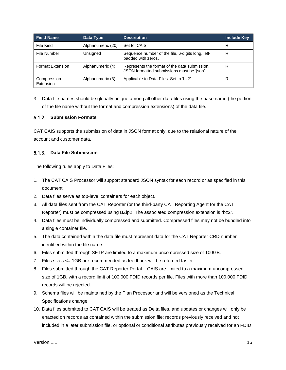| <b>Field Name</b>        | Data Type         | <b>Description</b>                                                                          | Include Key |
|--------------------------|-------------------|---------------------------------------------------------------------------------------------|-------------|
| File Kind                | Alphanumeric (20) | Set to 'CAIS'                                                                               | R           |
| File Number              | Unsigned          | Sequence number of the file, 6-digits long, left-<br>padded with zeros.                     | R           |
| <b>Format Extension</b>  | Alphanumeric (4)  | Represents the format of the data submission.<br>JSON formatted submissions must be 'json'. | R           |
| Compression<br>Extension | Alphanumeric (3)  | Applicable to Data Files. Set to 'bz2'                                                      | R           |

3. Data file names should be globally unique among all other data files using the base name (the portion of the file name without the format and compression extensions) of the data file.

#### <span id="page-20-0"></span>**Submission Formats**

CAT CAIS supports the submission of data in JSON format only, due to the relational nature of the account and customer data.

#### <span id="page-20-1"></span>**Data File Submission**

The following rules apply to Data Files:

- 1. The CAT CAIS Processor will support standard JSON syntax for each record or as specified in this document.
- 2. Data files serve as top-level containers for each object.
- 3. All data files sent from the CAT Reporter (or the third-party CAT Reporting Agent for the CAT Reporter) must be compressed using BZip2. The associated compression extension is "bz2".
- 4. Data files must be individually compressed and submitted. Compressed files may not be bundled into a single container file.
- 5. The data contained within the data file must represent data for the CAT Reporter CRD number identified within the file name.
- 6. Files submitted through SFTP are limited to a maximum uncompressed size of 100GB.
- 7. Files sizes <= 1GB are recommended as feedback will be returned faster.
- 8. Files submitted through the CAT Reporter Portal CAIS are limited to a maximum uncompressed size of 1GB, with a record limit of 100,000 FDID records per file. Files with more than 100,000 FDID records will be rejected.
- 9. Schema files will be maintained by the Plan Processor and will be versioned as the Technical Specifications change.
- 10. Data files submitted to CAT CAIS will be treated as Delta files, and updates or changes will only be enacted on records as contained within the submission file; records previously received and not included in a later submission file, or optional or conditional attributes previously received for an FDID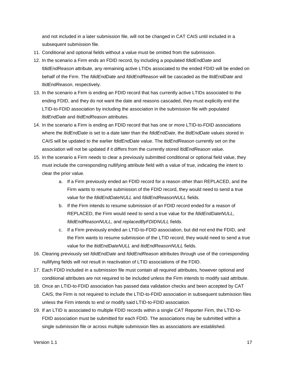and not included in a later submission file, will not be changed in CAT CAIS until included in a subsequent submission file.

- 11. Conditional and optional fields without a value must be omitted from the submission.
- 12. In the scenario a Firm ends an FDID record, by including a populated *fdidEndDate* and *fdidEndReason* attribute, any remaining active LTIDs associated to the ended FDID will be ended on behalf of the Firm. The *fdidEndDate* and *fdidEndReason* will be cascaded as the *ltidEndDate* and *ltidEndReason*, respectively.
- 13. In the scenario a Firm is ending an FDID record that has currently active LTIDs associated to the ending FDID, and they do not want the date and reasons cascaded, they must explicitly end the LTID-to-FDID association by including the association in the submission file with populated *ltidEndDate* and *ltidEndReason* attributes.
- 14. In the scenario a Firm is ending an FDID record that has one or more LTID-to-FDID associations where the *ltidEndDate* is set to a date later than the *fdidEndDate*, the *ltidEndDate* values stored in CAIS will be updated to the earlier *fdidEndDate* value. The *ltidEndReason* currently set on the association will not be updated if it differs from the currently stored *ltidEndReason* value.
- 15. In the scenario a Firm needs to clear a previously submitted conditional or optional field value, they must include the corresponding nullifying attribute field with a value of true, indicating the intent to clear the prior value.
	- a. If a Firm previously ended an FDID record for a reason other than REPLACED, and the Firm wants to resume submission of the FDID record, they would need to send a true value for the *fdidEndDateNULL* and *fdidEndReasonNULL* fields.
	- b. If the Firm intends to resume submission of an FDID record ended for a reason of REPLACED, the Firm would need to send a true value for the *fdidEndDateNULL*, *fdidEndReasonNULL*, and *replacedByFDIDNULL* fields.
	- c. If a Firm previously ended an LTID-to-FDID association, but did not end the FDID, and the Firm wants to resume submission of the LTID record, they would need to send a true value for the *ltidEndDateNULL* and *ltidEndReasonNULL* fields.
- 16. Clearing previously set *fdidEndDate* and *fdidEndReason* attributes through use of the corresponding nullifying fields will not result in reactivation of LTID associations of the FDID.
- 17. Each FDID included in a submission file must contain all required attributes, however optional and conditional attributes are not required to be included unless the Firm intends to modify said attribute.
- 18. Once an LTID-to-FDID association has passed data validation checks and been accepted by CAT CAIS, the Firm is not required to include the LTID-to-FDID association in subsequent submission files unless the Firm intends to end or modify said LTID-to-FDID association.
- 19. If an LTID is associated to multiple FDID records within a single CAT Reporter Firm, the LTID-to-FDID association must be submitted for each FDID. The associations may be submitted within a single submission file or across multiple submission files as associations are established.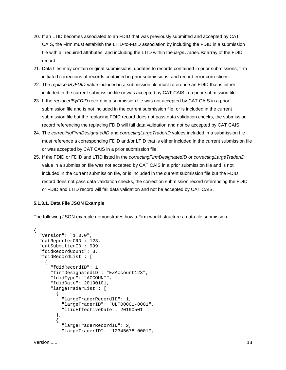- 20. If an LTID becomes associated to an FDID that was previously submitted and accepted by CAT CAIS, the Firm must establish the LTID-to-FDID association by including the FDID in a submission file with all required attributes, and including the LTID within the *largeTraderList* array of the FDID record.
- 21. Data files may contain original submissions, updates to records contained in prior submissions, firm initiated corrections of records contained in prior submissions, and record error corrections.
- 22. The *replacedByFDID* value included in a submission file must reference an FDID that is either included in the current submission file or was accepted by CAT CAIS in a prior submission file.
- 23. If the *replacedByFDID* record in a submission file was not accepted by CAT CAIS in a prior submission file and is not included in the current submission file, or is included in the current submission file but the replacing FDID record does not pass data validation checks, the submission record referencing the replacing FDID will fail data validation and not be accepted by CAT CAIS.
- 24. The *correctingFirmDesignatedID* and *correctingLargeTraderID* values included in a submission file must reference a corresponding FDID and/or LTID that is either included in the current submission file or was accepted by CAT CAIS in a prior submission file.
- 25. If the FDID or FDID and LTID listed in the *correctingFirmDesignatedID* or *correctingLargeTraderID* value in a submission file was not accepted by CAT CAIS in a prior submission file and is not included in the current submission file, or is included in the current submission file but the FDID record does not pass data validation checks, the correction submission record referencing the FDID or FDID and LTID record will fail data validation and not be accepted by CAT CAIS.

#### **5.1.3.1. Data File JSON Example**

The following JSON example demonstrates how a Firm would structure a data file submission.

```
{
   "version": "1.0.0",
   "catReporterCRD": 123,
   "catSubmitterID": 999,
  "fdidRecordCount": 3,
   "fdidRecordList": [
\mathcal{L} "fdidRecordID": 1, 
       "firmDesignatedID": "EZAccount123",
       "fdidType": "ACCOUNT",
       "fdidDate": 20190101,
        "largeTraderList": [
\overline{a} "largeTraderRecordID": 1,
            "largeTraderID": "ULT00001-0001",
            "ltidEffectiveDate": 20190501
          },
\left\{\begin{array}{c} \end{array}\right. "largeTraderRecordID": 2,
            "largeTraderID": "12345678-0001",
```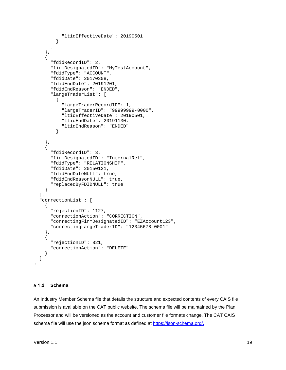```
 "ltidEffectiveDate": 20190501
 }
       ]
     },
\mathcal{L} "fdidRecordID": 2,
       "firmDesignatedID": "MyTestAccount",
       "fdidType": "ACCOUNT",
       "fdidDate": 20170308,
       "fdidEndDate": 20191201,
       "fdidEndReason": "ENDED",
       "largeTraderList": [
\left\{\begin{array}{c} \end{array}\right. "largeTraderRecordID": 1,
            "largeTraderID": "99999999-0000",
            "ltidEffectiveDate": 20190501,
            "ltidEndDate": 20191130,
          "ltidEndReason": "ENDED"
 }
       ]
     },
\left\{\begin{array}{ccc} \end{array}\right\} "fdidRecordID": 3,
       "firmDesignatedID": "InternalRel",
       "fdidType": "RELATIONSHIP",
       "fdidDate": 20150121,
       "fdidEndDateNULL": true,
       "fdidEndReasonNULL": true,
       "replacedByFDIDNULL": true
     }
   ],
   "correctionList": [
    \{ "rejectionID": 1127,
       "correctionAction": "CORRECTION",
       "correctingFirmDesignatedID": "EZAccount123",
       "correctingLargeTraderID": "12345678-0001"
     },
    \left\{ \right. "rejectionID": 821,
       "correctionAction": "DELETE"
     }
   ]
```
#### <span id="page-23-0"></span>**Schema**

}

An Industry Member Schema file that details the structure and expected contents of every CAIS file submission is available on the CAT public website. The schema file will be maintained by the Plan Processor and will be versioned as the account and customer file formats change. The CAT CAIS schema file will use the json schema format as defined at [https://json-schema.org/.](https://json-schema.org/)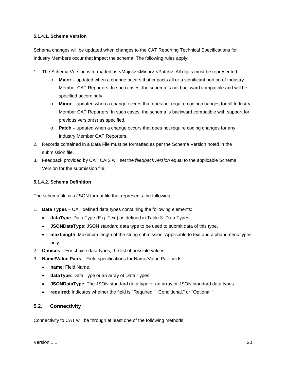#### **5.1.4.1. Schema Version**

Schema changes will be updated when changes to the CAT Reporting Technical Specifications for Industry Members occur that impact the schema. The following rules apply:

- 1. The Schema Version is formatted as <Major>.<Minor>.<Patch>. All digits must be represented.
	- o **Major –** updated when a change occurs that impacts all or a significant portion of Industry Member CAT Reporters. In such cases, the schema is not backward compatible and will be specified accordingly.
	- o **Minor –** updated when a change occurs that does not require coding changes for all Industry Member CAT Reporters. In such cases, the schema is backward compatible with support for previous version(s) as specified.
	- o **Patch –** updated when a change occurs that does not require coding changes for any Industry Member CAT Reporters.
- 2. Records contained in a Data File must be formatted as per the Schema Version noted in the submission file.
- 3. Feedback provided by CAT CAIS will set the *feedbackVersion* equal to the applicable Schema Version for the submission file.

#### **5.1.4.2. Schema Definition**

The schema file is a JSON format file that represents the following:

- 1. **Data Types** CAT defined data types containing the following elements:
	- **dataType**: Data Type (E.g. Text) as defined in [Table 3: Data Types](#page-9-1)
	- **JSONDataType**: JSON standard data type to be used to submit data of this type.
	- **maxLength**: Maximum length of the string submission. Applicable to text and alphanumeric types only.
- 2. **Choices** For choice data types, the list of possible values.
- 3. **Name/Value Pairs**  Field specifications for Name/Value Pair fields.
	- **name**: Field Name.
	- **dataType**: Data Type or an array of Data Types.
	- **JSONDataType**: The JSON standard data type or an array or JSON standard data types.
	- **required**: Indicates whether the field is "Required," "Conditional," or "Optional."

#### <span id="page-24-0"></span>**5.2. Connectivity**

Connectivity to CAT will be through at least one of the following methods: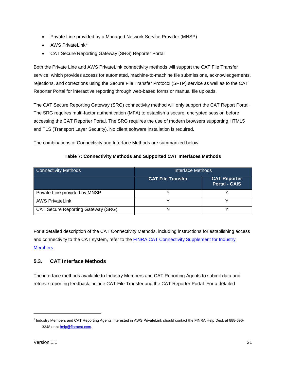- Private Line provided by a Managed Network Service Provider (MNSP)
- AWS PrivateLink<sup>[2](#page-25-1)</sup>
- CAT Secure Reporting Gateway (SRG) Reporter Portal

Both the Private Line and AWS PrivateLink connectivity methods will support the CAT File Transfer service, which provides access for automated, machine-to-machine file submissions, acknowledgements, rejections, and corrections using the Secure File Transfer Protocol (SFTP) service as well as to the CAT Reporter Portal for interactive reporting through web-based forms or manual file uploads.

The CAT Secure Reporting Gateway (SRG) connectivity method will only support the CAT Report Portal. The SRG requires multi-factor authentication (MFA) to establish a secure, encrypted session before accessing the CAT Reporter Portal. The SRG requires the use of modern browsers supporting HTML5 and TLS (Transport Layer Security). No client software installation is required.

The combinations of Connectivity and Interface Methods are summarized below.

| <b>Connectivity Methods</b>               | Interface Methods        |                                             |  |
|-------------------------------------------|--------------------------|---------------------------------------------|--|
|                                           | <b>CAT File Transfer</b> | <b>CAT Reporter</b><br><b>Portal - CAIS</b> |  |
| Private Line provided by MNSP             |                          |                                             |  |
| <b>AWS PrivateLink</b>                    |                          |                                             |  |
| <b>CAT Secure Reporting Gateway (SRG)</b> | N                        |                                             |  |

For a detailed description of the CAT Connectivity Methods, including instructions for establishing access and connectivity to the CAT system, refer to the [FINRA CAT Connectivity Supplement for Industry](https://www.catnmsplan.com/registration/)  [Members.](https://www.catnmsplan.com/registration/)

# <span id="page-25-0"></span>**5.3. CAT Interface Methods**

The interface methods available to Industry Members and CAT Reporting Agents to submit data and retrieve reporting feedback include CAT File Transfer and the CAT Reporter Portal. For a detailed

j

<span id="page-25-1"></span><sup>2</sup> Industry Members and CAT Reporting Agents interested in AWS PrivateLink should contact the FINRA Help Desk at 888-696 3348 or a[t help@finracat.com.](mailto:help@finracat.com)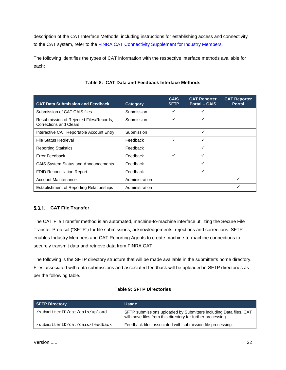description of the CAT Interface Methods, including instructions for establishing access and connectivity to the CAT system, refer to the **FINRA CAT Connectivity Supplement for Industry Members**.

The following identifies the types of CAT information with the respective interface methods available for each:

<span id="page-26-1"></span>

| <b>CAT Data Submission and Feedback</b>                                  | Category       | <b>CAIS</b><br><b>SFTP</b> | <b>CAT Reporter</b><br><b>Portal - CAIS</b> | <b>CAT Reporter</b><br><b>Portal</b> |
|--------------------------------------------------------------------------|----------------|----------------------------|---------------------------------------------|--------------------------------------|
| Submission of CAT CAIS files                                             | Submission     |                            | ✓                                           |                                      |
| Resubmission of Rejected Files/Records,<br><b>Corrections and Clears</b> | Submission     | ✓                          | ✓                                           |                                      |
| Interactive CAT Reportable Account Entry                                 | Submission     |                            | ✓                                           |                                      |
| File Status Retrieval                                                    | Feedback       | ✓                          | ✓                                           |                                      |
| <b>Reporting Statistics</b>                                              | Feedback       |                            | ✓                                           |                                      |
| Error Feedback                                                           | Feedback       | ✓                          | ✓                                           |                                      |
| CAIS System Status and Announcements                                     | Feedback       |                            | ✓                                           |                                      |
| <b>FDID Reconciliation Report</b>                                        | Feedback       |                            | ✓                                           |                                      |
| <b>Account Maintenance</b>                                               | Administration |                            |                                             | ✓                                    |
| <b>Establishment of Reporting Relationships</b>                          | Administration |                            |                                             |                                      |

## **Table 8: CAT Data and Feedback Interface Methods**

# <span id="page-26-0"></span>**CAT File Transfer**

The CAT File Transfer method is an automated, machine-to-machine interface utilizing the Secure File Transfer Protocol ("SFTP") for file submissions, acknowledgements, rejections and corrections. SFTP enables Industry Members and CAT Reporting Agents to create machine-to-machine connections to securely transmit data and retrieve data from FINRA CAT.

The following is the SFTP directory structure that will be made available in the submitter's home directory. Files associated with data submissions and associated feedback will be uploaded in SFTP directories as per the following table.

#### **Table 9: SFTP Directories**

| <b>SFTP Directory</b>          | <b>Usage</b>                                                                                                                     |
|--------------------------------|----------------------------------------------------------------------------------------------------------------------------------|
| 'submitterID/cat/cais/upload   | SFTP submissions uploaded by Submitters including Data files. CAT<br>will move files from this directory for further processing. |
| 'submitterID/cat/cais/feedback | Feedback files associated with submission file processing.                                                                       |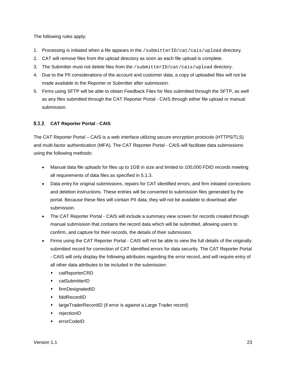The following rules apply:

- 1. Processing is initiated when a file appears in the /submitterID/cat/cais/upload directory.
- 2. CAT will remove files from the upload directory as soon as each file upload is complete.
- 3. The Submitter must not delete files from the /submitterID/cat/cais/upload directory.
- 4. Due to the PII considerations of the account and customer data, a copy of uploaded files will not be made available to the Reporter or Submitter after submission.
- 5. Firms using SFTP will be able to obtain Feedback Files for files submitted through the SFTP, as well as any files submitted through the CAT Reporter Portal - CAIS through either file upload or manual submission.

#### <span id="page-27-0"></span>**CAT Reporter Portal - CAIS**

The CAT Reporter Portal – CAIS is a web interface utilizing secure encryption protocols (HTTPS/TLS) and multi-factor authentication (MFA). The CAT Reporter Portal - CAIS will facilitate data submissions using the following methods:

- Manual data file uploads for files up to 1GB in size and limited to 100,000 FDID records meeting all requirements of data files as specified in [5.1.3.](#page-20-1)
- Data entry for original submissions, repairs for CAT identified errors, and firm initiated corrections and deletion instructions. These entries will be converted to submission files generated by the portal. Because these files will contain PII data, they will not be available to download after submission.
- The CAT Reporter Portal CAIS will include a summary view screen for records created through manual submission that contains the record data which will be submitted, allowing users to confirm, and capture for their records, the details of their submission.
- Firms using the CAT Reporter Portal CAIS will not be able to view the full details of the originally submitted record for correction of CAT identified errors for data security. The CAT Reporter Portal - CAIS will only display the following attributes regarding the error record, and will require entry of all other data attributes to be included in the submission:
	- catReporterCRD
	- catSubmitterID
	- **+** firmDesignatedID
	- fdidRecordID
	- largeTraderRecordID (if error is against a Large Trader record)
	- rejectionID
	- errorCodeID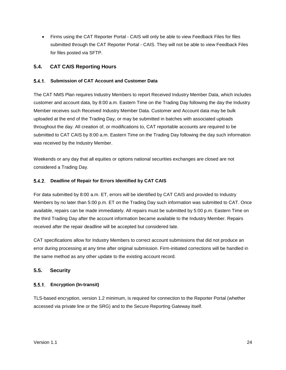• Firms using the CAT Reporter Portal - CAIS will only be able to view Feedback Files for files submitted through the CAT Reporter Portal - CAIS. They will not be able to view Feedback Files for files posted via SFTP.

#### <span id="page-28-0"></span>**5.4. CAT CAIS Reporting Hours**

#### <span id="page-28-1"></span>**Submission of CAT Account and Customer Data**

The CAT NMS Plan requires Industry Members to report Received Industry Member Data, which includes customer and account data, by 8:00 a.m. Eastern Time on the Trading Day following the day the Industry Member receives such Received Industry Member Data. Customer and Account data may be bulk uploaded at the end of the Trading Day, or may be submitted in batches with associated uploads throughout the day. All creation of, or modifications to, CAT reportable accounts are required to be submitted to CAT CAIS by 8:00 a.m. Eastern Time on the Trading Day following the day such information was received by the Industry Member.

Weekends or any day that all equities or options national securities exchanges are closed are not considered a Trading Day.

#### <span id="page-28-2"></span>**Deadline of Repair for Errors Identified by CAT CAIS**

For data submitted by 8:00 a.m. ET, errors will be identified by CAT CAIS and provided to Industry Members by no later than 5:00 p.m. ET on the Trading Day such information was submitted to CAT. Once available, repairs can be made immediately. All repairs must be submitted by 5:00 p.m. Eastern Time on the third Trading Day after the account information became available to the Industry Member. Repairs received after the repair deadline will be accepted but considered late.

CAT specifications allow for Industry Members to correct account submissions that did not produce an error during processing at any time after original submission. Firm-initiated corrections will be handled in the same method as any other update to the existing account record.

#### <span id="page-28-3"></span>**5.5. Security**

#### <span id="page-28-4"></span>**Encryption (In-transit)**

TLS-based encryption, version 1.2 minimum, is required for connection to the Reporter Portal (whether accessed via private line or the SRG) and to the Secure Reporting Gateway itself.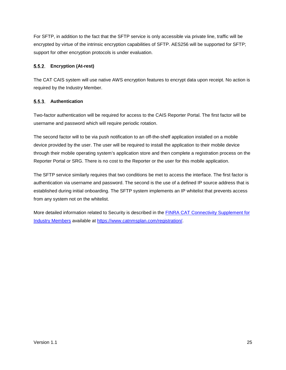For SFTP, in addition to the fact that the SFTP service is only accessible via private line, traffic will be encrypted by virtue of the intrinsic encryption capabilities of SFTP. AES256 will be supported for SFTP; support for other encryption protocols is under evaluation.

#### <span id="page-29-0"></span>**Encryption (At-rest)**

The CAT CAIS system will use native AWS encryption features to encrypt data upon receipt. No action is required by the Industry Member.

#### <span id="page-29-1"></span>**Authentication**

Two-factor authentication will be required for access to the CAIS Reporter Portal. The first factor will be username and password which will require periodic rotation.

The second factor will to be via push notification to an off-the-shelf application installed on a mobile device provided by the user. The user will be required to install the application to their mobile device through their mobile operating system's application store and then complete a registration process on the Reporter Portal or SRG. There is no cost to the Reporter or the user for this mobile application.

The SFTP service similarly requires that two conditions be met to access the interface. The first factor is authentication via username and password. The second is the use of a defined IP source address that is established during initial onboarding. The SFTP system implements an IP whitelist that prevents access from any system not on the whitelist.

More detailed information related to Security is described in the **FINRA CAT Connectivity Supplement for** [Industry Members](https://www.catnmsplan.com/registration/) available at [https://www.catnmsplan.com/registration/.](https://www.catnmsplan.com/registration/)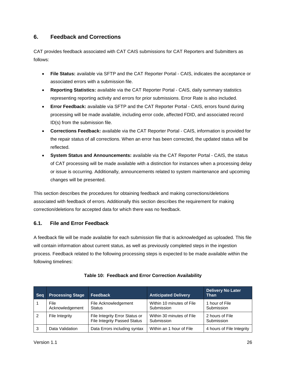# <span id="page-30-0"></span>**6. Feedback and Corrections**

CAT provides feedback associated with CAT CAIS submissions for CAT Reporters and Submitters as follows:

- **File Status:** available via SFTP and the CAT Reporter Portal CAIS, indicates the acceptance or associated errors with a submission file.
- **Reporting Statistics:** available via the CAT Reporter Portal CAIS, daily summary statistics representing reporting activity and errors for prior submissions. Error Rate is also included.
- **Error Feedback:** available via SFTP and the CAT Reporter Portal CAIS, errors found during processing will be made available, including error code, affected FDID, and associated record ID(s) from the submission file.
- **Corrections Feedback:** available via the CAT Reporter Portal CAIS, information is provided for the repair status of all corrections. When an error has been corrected, the updated status will be reflected.
- **System Status and Announcements:** available via the CAT Reporter Portal CAIS, the status of CAT processing will be made available with a distinction for instances when a processing delay or issue is occurring. Additionally, announcements related to system maintenance and upcoming changes will be presented.

This section describes the procedures for obtaining feedback and making corrections/deletions associated with feedback of errors. Additionally this section describes the requirement for making correction/deletions for accepted data for which there was no feedback.

# <span id="page-30-1"></span>**6.1. File and Error Feedback**

A feedback file will be made available for each submission file that is acknowledged as uploaded. This file will contain information about current status, as well as previously completed steps in the ingestion process. Feedback related to the following processing steps is expected to be made available within the following timelines:

| <b>Seq</b> | <b>Processing Stage</b> | Feedback                                                              | <b>Anticipated Delivery</b>             | <b>Delivery No Later</b><br>Than |
|------------|-------------------------|-----------------------------------------------------------------------|-----------------------------------------|----------------------------------|
|            | File<br>Acknowledgement | File Acknowledgement<br><b>Status</b>                                 | Within 10 minutes of File<br>Submission | 1 hour of File<br>Submission     |
| 2          | File Integrity          | File Integrity Error Status or<br><b>File Integrity Passed Status</b> | Within 30 minutes of File<br>Submission | 2 hours of File<br>Submission    |
| 3          | Data Validation         | Data Errors including syntax                                          | Within an 1 hour of File                | 4 hours of File Integrity        |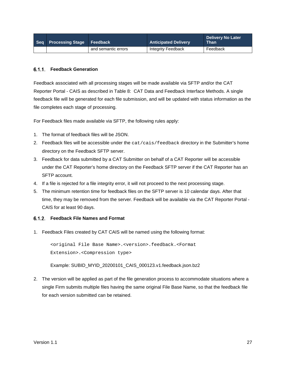| Seq Processing Stage Feedback |                     | <b>Anticipated Delivery</b> | <b>Delivery No Later</b><br><b>Than</b> |
|-------------------------------|---------------------|-----------------------------|-----------------------------------------|
|                               | and semantic errors | Integrity Feedback          | Feedback                                |

#### <span id="page-31-0"></span>**Feedback Generation**

Feedback associated with all processing stages will be made available via SFTP and/or the CAT Reporter Portal - CAIS as described in [Table 8: CAT Data and Feedback Interface](#page-26-1) Methods. A single feedback file will be generated for each file submission, and will be updated with status information as the file completes each stage of processing.

For Feedback files made available via SFTP, the following rules apply:

- 1. The format of feedback files will be JSON.
- 2. Feedback files will be accessible under the cat/cais/feedback directory in the Submitter's home directory on the Feedback SFTP server.
- 3. Feedback for data submitted by a CAT Submitter on behalf of a CAT Reporter will be accessible under the CAT Reporter's home directory on the Feedback SFTP server if the CAT Reporter has an SFTP account.
- 4. If a file is rejected for a file integrity error, it will not proceed to the next processing stage.
- 5. The minimum retention time for feedback files on the SFTP server is 10 calendar days. After that time, they may be removed from the server. Feedback will be available via the CAT Reporter Portal - CAIS for at least 90 days.

#### <span id="page-31-1"></span>**Feedback File Names and Format**

1. Feedback Files created by CAT CAIS will be named using the following format:

<original File Base Name>.<version>.feedback.<Format Extension>.<Compression type>

Example: SUBID\_MYID\_20200101\_CAIS\_000123.v1.feedback.json.bz2

2. The version will be applied as part of the file generation process to accommodate situations where a single Firm submits multiple files having the same original File Base Name, so that the feedback file for each version submitted can be retained.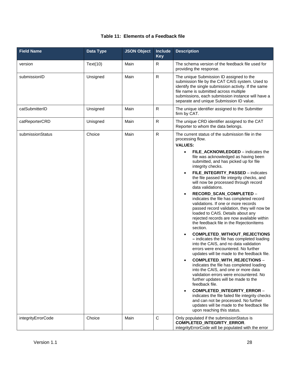|  |  |  | Table 11: Elements of a Feedback file |
|--|--|--|---------------------------------------|
|--|--|--|---------------------------------------|

| <b>Field Name</b>  | Data Type | <b>JSON Object</b> | Include<br><b>Key</b> | <b>Description</b>                                                                                                                                                                                                                                                                                                                                                                                                                                                                                                                                                                                                                                                                                                                                                                                                                                                                                                                                                                                                                                                                                                                                                                                                                                                                                                               |  |
|--------------------|-----------|--------------------|-----------------------|----------------------------------------------------------------------------------------------------------------------------------------------------------------------------------------------------------------------------------------------------------------------------------------------------------------------------------------------------------------------------------------------------------------------------------------------------------------------------------------------------------------------------------------------------------------------------------------------------------------------------------------------------------------------------------------------------------------------------------------------------------------------------------------------------------------------------------------------------------------------------------------------------------------------------------------------------------------------------------------------------------------------------------------------------------------------------------------------------------------------------------------------------------------------------------------------------------------------------------------------------------------------------------------------------------------------------------|--|
| version            | Text(10)  | Main               | R.                    | The schema version of the feedback file used for<br>providing the response.                                                                                                                                                                                                                                                                                                                                                                                                                                                                                                                                                                                                                                                                                                                                                                                                                                                                                                                                                                                                                                                                                                                                                                                                                                                      |  |
| submissionID       | Unsigned  | Main               | ${\sf R}$             | The unique Submission ID assigned to the<br>submission file by the CAT CAIS system. Used to<br>identify the single submission activity. If the same<br>file name is submitted across multiple<br>submissions, each submission instance will have a<br>separate and unique Submission ID value.                                                                                                                                                                                                                                                                                                                                                                                                                                                                                                                                                                                                                                                                                                                                                                                                                                                                                                                                                                                                                                   |  |
| catSubmitterID     | Unsigned  | Main               | $\mathsf{R}$          | The unique identifier assigned to the Submitter<br>firm by CAT.                                                                                                                                                                                                                                                                                                                                                                                                                                                                                                                                                                                                                                                                                                                                                                                                                                                                                                                                                                                                                                                                                                                                                                                                                                                                  |  |
| catReporterCRD     | Unisgned  | Main               | ${\sf R}$             | The unique CRD identifier assigned to the CAT<br>Reporter to whom the data belongs.                                                                                                                                                                                                                                                                                                                                                                                                                                                                                                                                                                                                                                                                                                                                                                                                                                                                                                                                                                                                                                                                                                                                                                                                                                              |  |
| submissionStatus   | Choice    | Main               | ${\sf R}$             | The current status of the submission file in the<br>processing flow.<br><b>VALUES:</b><br>FILE_ACKNOWLEDGED - indicates the<br>file was acknowledged as having been<br>submitted, and has picked up for file<br>integrity checks.<br>FILE_INTEGRITY_PASSED - indicates<br>the file passed file integrity checks, and<br>will now be processed through record<br>data validations.<br>RECORD_SCAN_COMPLETED -<br>٠<br>indicates the file has completed record<br>validations. If one or more records<br>passed record validation, they will now be<br>loaded to CAIS. Details about any<br>rejected records are now available within<br>the feedback file in the RejectionItems<br>section.<br>COMPLETED_WITHOUT_REJECTIONS<br>- indicates the file has completed loading<br>into the CAIS, and no data validation<br>errors were encountered. No further<br>updates will be made to the feedback file.<br>COMPLETED_WITH_REJECTIONS -<br>indicates the file has completed loading<br>into the CAIS, and one or more data<br>validation errors were encountered. No<br>further updates will be made to the<br>feedback file.<br>COMPLETED_INTEGRITY_ERROR -<br>indicates the file failed file integrity checks<br>and can not be processed. No further<br>updates will be made to the feedback file<br>upon reaching this status. |  |
| integrityErrorCode | Choice    | Main               | $\mathsf C$           | Only populated if the submissionStatus is<br>COMPLETED_INTEGRITY_ERROR.<br>integrityErrorCode will be populated with the error                                                                                                                                                                                                                                                                                                                                                                                                                                                                                                                                                                                                                                                                                                                                                                                                                                                                                                                                                                                                                                                                                                                                                                                                   |  |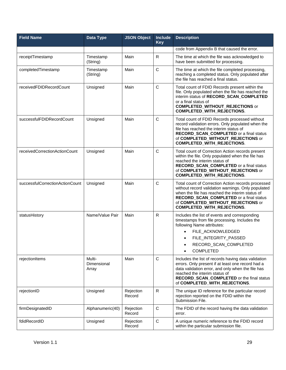| <b>Field Name</b>               | Data Type                      | <b>JSON Object</b>  | Include<br><b>Key</b> | <b>Description</b>                                                                                                                                                                                                                                                           |
|---------------------------------|--------------------------------|---------------------|-----------------------|------------------------------------------------------------------------------------------------------------------------------------------------------------------------------------------------------------------------------------------------------------------------------|
|                                 |                                |                     |                       | code from Appendix B that caused the error.                                                                                                                                                                                                                                  |
| receiptTimestamp                | Timestamp<br>(String)          | Main                | R                     | The time at which the file was acknowledged to<br>have been submitted for processing.                                                                                                                                                                                        |
| completedTimestamp              | Timestamp<br>(String)          | Main                | $\mathsf{C}$          | The time at which the file completed processing,<br>reaching a completed status. Only populated after<br>the file has reached a final status.                                                                                                                                |
| receivedFDIDRecordCount         | Unsigned                       | Main                | $\mathsf{C}$          | Total count of FDID Records present within the<br>file. Only populated when the file has reached the<br>interim status of RECORD_SCAN_COMPLETED<br>or a final status of<br><b>COMPLETED_WITHOUT_REJECTIONS or</b><br><b>COMPLETED_WITH_REJECTIONS.</b>                       |
| successfulFDIDRecordCount       | Unsigned                       | Main                | $\mathsf{C}$          | Total count of FDID Records processed without<br>record validation errors. Only populated when the<br>file has reached the interim status of<br>RECORD_SCAN_COMPLETED or a final status<br>of COMPLETED_WITHOUT_REJECTIONS or<br><b>COMPLETED_WITH_REJECTIONS.</b>           |
| receivedCorrectionActionCount   | Unsigned                       | Main                | $\mathsf{C}$          | Total count of Correction Action records present<br>within the file. Only populated when the file has<br>reached the interim status of<br>RECORD_SCAN_COMPLETED or a final status<br>of COMPLETED_WITHOUT_REJECTIONS or<br>COMPLETED_WITH_REJECTIONS.                        |
| successfulCorrectionActionCount | Unsigned                       | Main                | $\mathsf{C}$          | Total count of Correction Action records processed<br>without record validation warnings. Only populated<br>when the file has reached the interim status of<br>RECORD_SCAN_COMPLETED or a final status<br>of COMPLETED_WITHOUT_REJECTIONS or<br>COMPLETED_WITH_REJECTIONS.   |
| statusHistory                   | Name/Value Pair                | Main                | $\mathsf{R}$          | Includes the list of events and corresponding<br>timestamps from file processing. Includes the<br>following Name attributes:<br>FILE ACKNOWLEDGED<br>FILE_INTEGRITY_PASSED<br>RECORD_SCAN_COMPLETED<br><b>COMPLETED</b>                                                      |
| rejectionItems                  | Multi-<br>Dimensional<br>Array | Main                | $\mathsf{C}$          | Includes the list of records having data validation<br>errors. Only present if at least one record had a<br>data validation error, and only when the file has<br>reached the interim status of<br>RECORD_SCAN_COMPLETED or the final status<br>of COMPLETED_WITH_REJECTIONS. |
| rejectionID                     | Unsigned                       | Rejection<br>Record | $\mathsf{R}$          | The unique ID reference for the particular record<br>rejection reported on the FDID within the<br>Submission File.                                                                                                                                                           |
| firmDesignatedID                | Alphanumeric(40)               | Rejection<br>Record | $\mathbf C$           | The FDID of the record having the data validation<br>error.                                                                                                                                                                                                                  |
| fdidRecordID                    | Unsigned                       | Rejection<br>Record | $\mathsf C$           | A unique numeric reference to the FDID record<br>within the particular submission file.                                                                                                                                                                                      |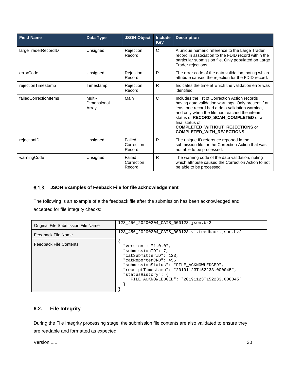| <b>Field Name</b>     | Data Type                      | <b>JSON Object</b>             | <b>Include</b><br><b>Key</b> | <b>Description</b>                                                                                                                                                                                                                                                                                                                                   |
|-----------------------|--------------------------------|--------------------------------|------------------------------|------------------------------------------------------------------------------------------------------------------------------------------------------------------------------------------------------------------------------------------------------------------------------------------------------------------------------------------------------|
| largeTraderRecordID   | Unsigned                       | Rejection<br>Record            | $\mathsf{C}$                 | A unique numeric reference to the Large Trader<br>record in association to the FDID record within the<br>particular submission file. Only populated on Large<br>Trader rejections.                                                                                                                                                                   |
| errorCode             | Unsigned                       | Rejection<br>Record            | R                            | The error code of the data validation, noting which<br>attribute caused the rejection for the FDID record.                                                                                                                                                                                                                                           |
| rejectionTimestamp    | Timestamp                      | Rejection<br>Record            | R.                           | Indicates the time at which the validation error was<br>identified.                                                                                                                                                                                                                                                                                  |
| failedCorrectionItems | Multi-<br>Dimensional<br>Array | Main                           | $\mathsf{C}$                 | Includes the list of Correction Action records<br>having data validation warnings. Only present if at<br>least one record had a data validation warning,<br>and only when the file has reached the interim<br>status of RECORD_SCAN_COMPLETED or a<br>final status of<br><b>COMPLETED_WITHOUT_REJECTIONS or</b><br><b>COMPLETED_WITH_REJECTIONS.</b> |
| rejectionID           | Unsigned                       | Failed<br>Correction<br>Record | R.                           | The unique ID reference reported in the<br>submission file for the Correction Action that was<br>not able to be processed.                                                                                                                                                                                                                           |
| warningCode           | Unsigned                       | Failed<br>Correction<br>Record | R.                           | The warning code of the data validation, noting<br>which attribute caused the Correction Action to not<br>be able to be processed.                                                                                                                                                                                                                   |

## <span id="page-34-0"></span>**JSON Examples of Feeback File for file acknowledgement**

The following is an example of a the feedback file after the submission has been acknowledged and accepted for file integrity checks:

| Original File Submission File Name | 123 456 20200204 CAIS 000123.json.bz2                                                                                                                                                                                                                               |
|------------------------------------|---------------------------------------------------------------------------------------------------------------------------------------------------------------------------------------------------------------------------------------------------------------------|
| Feedback File Name                 | 123 456 20200204 CAIS 000123.v1.feedback.json.bz2                                                                                                                                                                                                                   |
| <b>Feedback File Contents</b>      | "version": " $1.0.0$ ",<br>"submissionID": 7,<br>"catSubmitterID": 123,<br>"catReporterCRD": 456,<br>"submissionStatus": "FILE ACKNOWLEDGED",<br>"receiptTimestamp": "20191123T152233.000045",<br>"statusHistory":<br>"FILE ACKNOWLEDGED": "20191123T152233.000045" |

# <span id="page-34-1"></span>**6.2. File Integrity**

During the File Integrity processing stage, the submission file contents are also validated to ensure they are readable and formatted as expected.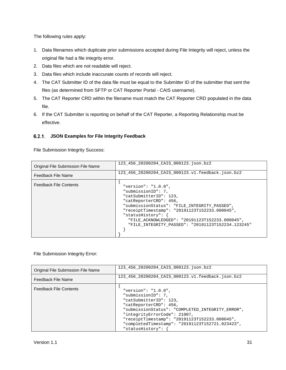The following rules apply:

- 1. Data filenames which duplicate prior submissions accepted during File Integrity will reject, unless the original file had a file integrity error.
- 2. Data files which are not readable will reject.
- 3. Data files which include inaccurate counts of records will reject.
- 4. The CAT Submitter ID of the data file must be equal to the Submitter ID of the submitter that sent the files (as determined from SFTP or CAT Reporter Portal - CAIS username).
- 5. The CAT Reporter CRD within the filename must match the CAT Reporter CRD populated in the data file.
- 6. If the CAT Submitter is reporting on behalf of the CAT Reporter, a Reporting Relationship must be effective.

#### <span id="page-35-0"></span>**JSON Examples for File Integrity Feedback**

File Submission Integrity Success:

| Original File Submission File Name | 123_456_20200204_CAIS_000123.json.bz2                                                                                                                                                                                                                                                                                         |
|------------------------------------|-------------------------------------------------------------------------------------------------------------------------------------------------------------------------------------------------------------------------------------------------------------------------------------------------------------------------------|
| Feedback File Name                 | 123 456 20200204 CAIS 000123.v1.feedback.json.bz2                                                                                                                                                                                                                                                                             |
| <b>Feedback File Contents</b>      | "version": " $1.0.0$ ",<br>"submissionID": 7,<br>"catSubmitterID": 123,<br>"catReporterCRD": 456,<br>"submissionStatus": "FILE INTEGRITY PASSED",<br>"receiptTimestamp": "20191123T152233.000045",<br>"statusHistory":<br>"FILE ACKNOWLEDGED": "20191123T152233.000045",<br>"FILE_INTEGRITY_PASSED": "20191123T152234.123245" |

#### File Submission Integrity Error:

| Original File Submission File Name | 123 456 20200204 CAIS 000123.json.bz2                                                                                                                                                                                                                                                                         |
|------------------------------------|---------------------------------------------------------------------------------------------------------------------------------------------------------------------------------------------------------------------------------------------------------------------------------------------------------------|
| Feedback File Name                 | 123_456_20200204_CAIS_000123.v1.feedback.json.bz2                                                                                                                                                                                                                                                             |
| <b>Feedback File Contents</b>      | "version": " $1.0.0$ ",<br>"submissionID": 7,<br>"catSubmitterID": 123,<br>"catReporterCRD": 456,<br>"submissionStatus": "COMPLETED INTEGRITY ERROR",<br>"integrityErrorCode": 21007,<br>"receiptTimestamp": "20191123T152233.000045",<br>"completedTimestamp": "20191123T152721.023423",<br>"statusHistory": |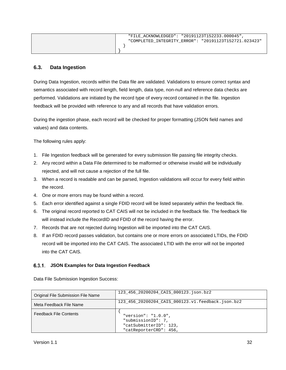| "FILE ACKNOWLEDGED": "20191123T152233.000045"         |
|-------------------------------------------------------|
| "COMPLETED INTEGRITY ERROR": "20191123T152721.023423" |
|                                                       |
|                                                       |

#### <span id="page-36-0"></span>**6.3. Data Ingestion**

During Data Ingestion, records within the Data file are validated. Validations to ensure correct syntax and semantics associated with record length, field length, data type, non-null and reference data checks are performed. Validations are initiated by the record type of every record contained in the file. Ingestion feedback will be provided with reference to any and all records that have validation errors.

During the ingestion phase, each record will be checked for proper formatting (JSON field names and values) and data contents.

The following rules apply:

- 1. File Ingestion feedback will be generated for every submission file passing file integrity checks.
- 2. Any record within a Data File determined to be malformed or otherwise invalid will be individually rejected, and will not cause a rejection of the full file.
- 3. When a record is readable and can be parsed, Ingestion validations will occur for every field within the record.
- 4. One or more errors may be found within a record.
- 5. Each error identified against a single FDID record will be listed separately within the feedback file.
- 6. The original record reported to CAT CAIS will not be included in the feedback file. The feedback file will instead include the RecordID and FDID of the record having the error.
- 7. Records that are not rejected during Ingestion will be imported into the CAT CAIS.
- 8. If an FDID record passes validation, but contains one or more errors on associated LTIDs, the FDID record will be imported into the CAT CAIS. The associated LTID with the error will not be imported into the CAT CAIS.

#### <span id="page-36-1"></span>**JSON Examples for Data Ingestion Feedback**

Data File Submission Ingestion Success:

| <b>Original File Submission File Name</b> | 123 456 20200204 CAIS 000123.json.bz2                                                             |
|-------------------------------------------|---------------------------------------------------------------------------------------------------|
| Meta Feedback File Name                   | 123 456 20200204 CAIS 000123.v1.feedback.json.bz2                                                 |
| <b>Feedback File Contents</b>             | "version": " $1.0.0$ ",<br>"submissionID": 7,<br>"catSubmitterID": 123,<br>"catReporterCRD": 456, |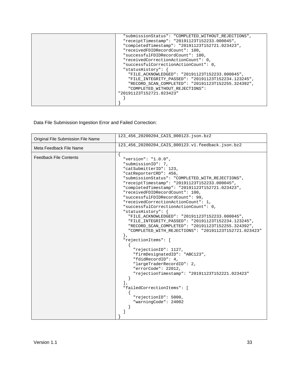| "submissionStatus": "COMPLETED WITHOUT REJECTIONS", |
|-----------------------------------------------------|
| "receiptTimestamp": "20191123T152233.000045",       |
| "completedTimestamp": "20191123T152721.023423",     |
| "receivedFDIDRecordCount": 100,                     |
| "successfulFDIDRecordCount": 100,                   |
| "receivedCorrectionActionCount": 0,                 |
| "successfulCorrectionActionCount": 0,               |
| "statusHistory":                                    |
| "FILE_ACKNOWLEDGED": "20191123T152233.000045",      |
| "FILE_INTEGRITY_PASSED": "20191123T152234.123245",  |
| "RECORD_SCAN_COMPLETED": "20191123T152255.324392",  |
| "COMPLETED WITHOUT REJECTIONS":                     |
| "20191123T152721.023423"                            |
|                                                     |
|                                                     |

Data File Submission Ingestion Error and Failed Correction:

| Original File Submission File Name | 123_456_20200204_CAIS_000123.json.bz2                                                                                                                                                                                                                                                                                                                                                                                                                                                                                                                                                                                                                                                                                                                                                                                                                                                                                                                            |
|------------------------------------|------------------------------------------------------------------------------------------------------------------------------------------------------------------------------------------------------------------------------------------------------------------------------------------------------------------------------------------------------------------------------------------------------------------------------------------------------------------------------------------------------------------------------------------------------------------------------------------------------------------------------------------------------------------------------------------------------------------------------------------------------------------------------------------------------------------------------------------------------------------------------------------------------------------------------------------------------------------|
| Meta Feedback File Name            | 123_456_20200204_CAIS_000123.v1.feedback.json.bz2                                                                                                                                                                                                                                                                                                                                                                                                                                                                                                                                                                                                                                                                                                                                                                                                                                                                                                                |
| <b>Feedback File Contents</b>      | "version": " $1.0.0$ ",<br>"submissionID": 7,<br>"catSubmitterID": 123,<br>"catReporterCRD": 456,<br>"submissionStatus": "COMPLETED_WITH_REJECTIONS",<br>"receiptTimestamp": "20191123T152233.000045",<br>"completedTimestamp": "20191123T152721.023423",<br>"receivedFDIDRecordCount": 100,<br>"successfulFDIDRecordCount": 99,<br>"receivedCorrectionActionCount": 1,<br>"successfulCorrectionActionCount": 0,<br>"statusHistory": $\{$<br>"FILE_ACKNOWLEDGED": "20191123T152233.000045",<br>"FILE_INTEGRITY_PASSED": "20191123T152234.123245",<br>"RECORD SCAN COMPLETED": "20191123T152255.324392",<br>"COMPLETED WITH REJECTIONS": "20191123T152721.023423"<br>"rejectionItems": [<br>"rejectionID": 1127,<br>"firmDesignatedID": "ABC123",<br>"fdidRecordID": 4,<br>"largeTraderRecordID": 2,<br>"errorCode": 22012,<br>"rejectionTimestamp": "20191123T152221.023423"<br>ı,<br>"failedCorrectionItems": [<br>"rejectionID": 5000,<br>"warningCode": 24002 |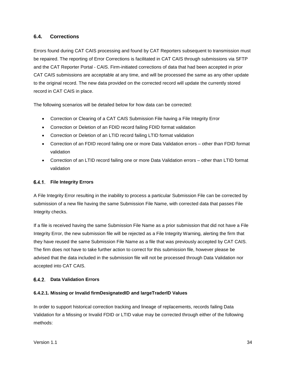#### <span id="page-38-0"></span>**6.4. Corrections**

Errors found during CAT CAIS processing and found by CAT Reporters subsequent to transmission must be repaired. The reporting of Error Corrections is facilitated in CAT CAIS through submissions via SFTP and the CAT Reporter Portal - CAIS. Firm-initiated corrections of data that had been accepted in prior CAT CAIS submissions are acceptable at any time, and will be processed the same as any other update to the original record. The new data provided on the corrected record will update the currently stored record in CAT CAIS in place.

The following scenarios will be detailed below for how data can be corrected:

- Correction or Clearing of a CAT CAIS Submission File having a File Integrity Error
- Correction or Deletion of an FDID record failing FDID format validation
- Correction or Deletion of an LTID record failing LTID format validation
- Correction of an FDID record failing one or more Data Validation errors other than FDID format validation
- Correction of an LTID record failing one or more Data Validation errors other than LTID format validation

#### <span id="page-38-1"></span>**File Integrity Errors**

A File Integrity Error resulting in the inability to process a particular Submission File can be corrected by submission of a new file having the same Submission File Name, with corrected data that passes File Integrity checks.

If a file is received having the same Submission File Name as a prior submission that did not have a File Integrity Error, the new submission file will be rejected as a File Integrity Warning, alerting the firm that they have reused the same Submission File Name as a file that was previously accepted by CAT CAIS. The firm does not have to take further action to correct for this submission file, however please be advised that the data included in the submission file will not be processed through Data Validation nor accepted into CAT CAIS.

#### <span id="page-38-2"></span>**Data Validation Errors**

#### **6.4.2.1. Missing or Invalid firmDesignatedID and largeTraderID Values**

In order to support historical correction tracking and lineage of replacements, records failing Data Validation for a Missing or Invalid FDID or LTID value may be corrected through either of the following methods: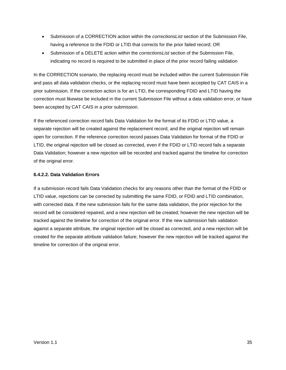- Submission of a CORRECTION action within the *correctionsList* section of the Submission File, having a reference to the FDID or LTID that corrects for the prior failed record; OR
- Submission of a DELETE action within the *correctionsList* section of the Submission File, indicating no record is required to be submitted in place of the prior record failing validation

In the CORRECTION scenario, the replacing record must be included within the current Submission File and pass all data validation checks, or the replacing record must have been accepted by CAT CAIS in a prior submission. If the correction action is for an LTID, the corresponding FDID and LTID having the correction must likewise be included in the current Submission File without a data validation error, or have been accepted by CAT CAIS in a prior submission.

If the referenced correction record fails Data Validation for the format of its FDID or LTID value, a separate rejection will be created against the replacement record, and the original rejection will remain open for correction. If the reference correction record passes Data Validation for format of the FDID or LTID, the original rejection will be closed as corrected, even if the FDID or LTID record fails a separate Data Validation; however a new rejection will be recorded and tracked against the timeline for correction of the original error.

#### **6.4.2.2. Data Validation Errors**

If a submission record fails Data Validation checks for any reasons other than the format of the FDID or LTID value, rejections can be corrected by submitting the same FDID, or FDID and LTID combination, with corrected data. If the new submission fails for the same data validation, the prior rejection for the record will be considered repaired, and a new rejection will be created; however the new rejection will be tracked against the timeline for correction of the original error. If the new submission fails validation against a separate attribute, the original rejection will be closed as corrected, and a new rejection will be created for the separate attribute validation failure; however the new rejection will be tracked against the timeline for correction of the original error.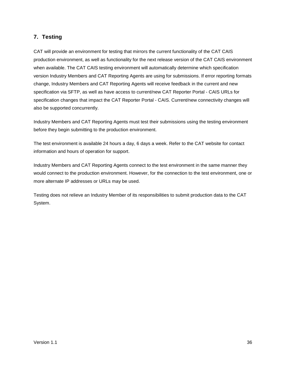# <span id="page-40-0"></span>**7. Testing**

CAT will provide an environment for testing that mirrors the current functionality of the CAT CAIS production environment, as well as functionality for the next release version of the CAT CAIS environment when available. The CAT CAIS testing environment will automatically determine which specification version Industry Members and CAT Reporting Agents are using for submissions. If error reporting formats change, Industry Members and CAT Reporting Agents will receive feedback in the current and new specification via SFTP, as well as have access to current/new CAT Reporter Portal - CAIS URLs for specification changes that impact the CAT Reporter Portal - CAIS. Current/new connectivity changes will also be supported concurrently.

Industry Members and CAT Reporting Agents must test their submissions using the testing environment before they begin submitting to the production environment.

The test environment is available 24 hours a day, 6 days a week. Refer to the CAT website for contact information and hours of operation for support.

Industry Members and CAT Reporting Agents connect to the test environment in the same manner they would connect to the production environment. However, for the connection to the test environment, one or more alternate IP addresses or URLs may be used.

Testing does not relieve an Industry Member of its responsibilities to submit production data to the CAT System.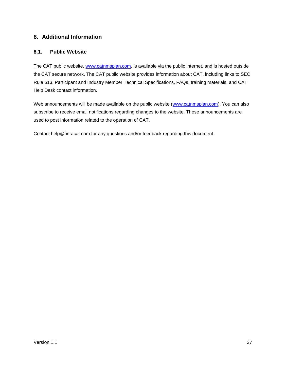# <span id="page-41-0"></span>**8. Additional Information**

#### <span id="page-41-1"></span>**8.1. Public Website**

The CAT public website, [www.catnmsplan.com,](https://www.catnmsplan.com/) is available via the public internet, and is hosted outside the CAT secure network. The CAT public website provides information about CAT, including links to SEC Rule 613, Participant and Industry Member Technical Specifications, FAQs, training materials, and CAT Help Desk contact information.

Web announcements will be made available on the public website [\(www.catnmsplan.com\)](https://www.catnmsplan.com/). You can also subscribe to receive email notifications regarding changes to the website. These announcements are used to post information related to the operation of CAT.

Contact help@finracat.com for any questions and/or feedback regarding this document.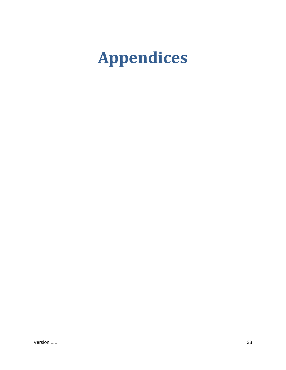# <span id="page-42-0"></span>**Appendices**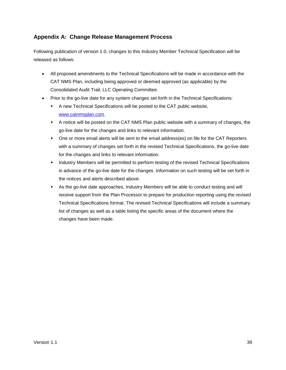# <span id="page-43-0"></span>**Appendix A: Change Release Management Process**

Following publication of version 1.0, changes to this Industry Member Technical Specification will be released as follows:

- All proposed amendments to the Technical Specifications will be made in accordance with the CAT NMS Plan, including being approved or deemed approved (as applicable) by the Consolidated Audit Trail, LLC Operating Committee.
- Prior to the go-live date for any system changes set forth in the Technical Specifications:
	- A new Technical Specifications will be posted to the CAT public website, [www.catnmsplan.com.](https://www.catnmsplan.com/)
	- A notice will be posted on the CAT NMS Plan public website with a summary of changes, the go-live date for the changes and links to relevant information.
	- One or more email alerts will be sent to the email address(es) on file for the CAT Reporters with a summary of changes set forth in the revised Technical Specifications, the go-live date for the changes and links to relevant information.
	- Industry Members will be permitted to perform testing of the revised Technical Specifications in advance of the go-live date for the changes. Information on such testing will be set forth in the notices and alerts described above.
	- As the go-live date approaches, Industry Members will be able to conduct testing and will receive support from the Plan Processor to prepare for production reporting using the revised Technical Specifications format. The revised Technical Specifications will include a summary list of changes as well as a table listing the specific areas of the document where the changes have been made.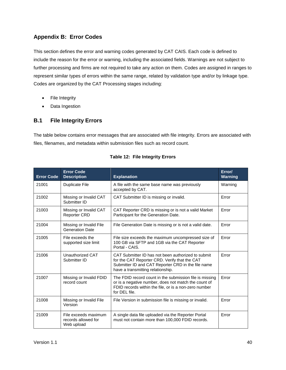# <span id="page-44-0"></span>**Appendix B: Error Codes**

This section defines the error and warning codes generated by CAT CAIS. Each code is defined to include the reason for the error or warning, including the associated fields. Warnings are not subject to further processing and firms are not required to take any action on them. Codes are assigned in ranges to represent similar types of errors within the same range, related by validation type and/or by linkage type. Codes are organized by the CAT Processing stages including:

- File Integrity
- Data Ingestion

# <span id="page-44-1"></span>**B.1 File Integrity Errors**

The table below contains error messages that are associated with file integrity. Errors are associated with files, filenames, and metadata within submission files such as record count.

| <b>Error Code</b> | <b>Error Code</b><br><b>Description</b>                   | <b>Explanation</b>                                                                                                                                                                             | Error/<br><b>Warning</b> |
|-------------------|-----------------------------------------------------------|------------------------------------------------------------------------------------------------------------------------------------------------------------------------------------------------|--------------------------|
| 21001             | <b>Duplicate File</b>                                     | A file with the same base name was previously<br>accepted by CAT.                                                                                                                              | Warning                  |
| 21002             | Missing or Invalid CAT<br>Submitter ID                    | CAT Submitter ID is missing or invalid.                                                                                                                                                        | Error                    |
| 21003             | Missing or Invalid CAT<br><b>Reporter CRD</b>             | CAT Reporter CRD is missing or is not a valid Market<br>Participant for the Generation Date.                                                                                                   | Error                    |
| 21004             | Missing or Invalid File<br><b>Generation Date</b>         | File Generation Date is missing or is not a valid date.                                                                                                                                        | Error                    |
| 21005             | File exceeds the<br>supported size limit                  | File size exceeds the maximum uncompressed size of<br>100 GB via SFTP and 1GB via the CAT Reporter<br>Portal - CAIS.                                                                           | Error                    |
| 21006             | Unauthorized CAT<br>Submitter ID                          | CAT Submitter ID has not been authorized to submit<br>for the CAT Reporter CRD. Verify that the CAT<br>Submitter ID and CAT Reporter CRD in the file name<br>have a transmitting relationship. | Error                    |
| 21007             | Missing or Invalid FDID<br>record count                   | The FDID record count in the submission file is missing<br>or is a negative number, does not match the count of<br>FDID records within the file, or is a non-zero number<br>for DEL file.      | Error                    |
| 21008             | Missing or Invalid File<br>Version                        | File Version in submission file is missing or invalid.                                                                                                                                         | Error                    |
| 21009             | File exceeds maximum<br>records allowed for<br>Web upload | A single data file uploaded via the Reporter Portal<br>must not contain more than 100,000 FDID records.                                                                                        | Error                    |

| <b>Table 12: File Integrity Errors</b> |  |  |
|----------------------------------------|--|--|
|                                        |  |  |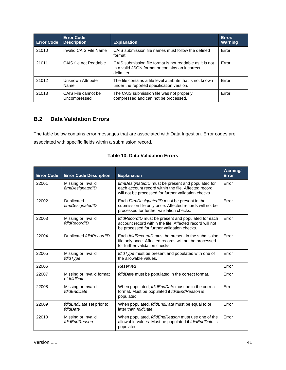| <b>Error Code</b> | <b>Error Code</b><br><b>Description</b> | <b>Explanation</b>                                                                                                        | Error/<br><b>Warning</b> |
|-------------------|-----------------------------------------|---------------------------------------------------------------------------------------------------------------------------|--------------------------|
| 21010             | Invalid CAIS File Name                  | CAIS submission file names must follow the defined<br>format.                                                             | Error                    |
| 21011             | CAIS file not Readable                  | CAIS submission file format is not readable as it is not<br>in a valid JSON format or contains an incorrect<br>delimiter. | Error                    |
| 21012             | Unknown Attribute<br>Name               | The file contains a file level attribute that is not known<br>under the reported specification version.                   | Error                    |
| 21013             | CAIS File cannot be<br>Uncompressed     | The CAIS submission file was not properly<br>compressed and can not be processed.                                         | Error                    |

# <span id="page-45-0"></span>**B.2 Data Validation Errors**

The table below contains error messages that are associated with Data Ingestion. Error codes are associated with specific fields within a submission record.

| <b>Error Code</b> | <b>Error Code Description</b>            | <b>Explanation</b>                                                                                                                                                        | Warning/<br><b>Error</b> |
|-------------------|------------------------------------------|---------------------------------------------------------------------------------------------------------------------------------------------------------------------------|--------------------------|
| 22001             | Missing or Invalid<br>firmDesignatedID   | <i>firmDesignatedID</i> must be present and populated for<br>each account record within the file. Affected record<br>will not be processed for further validation checks. | Error                    |
| 22002             | Duplicated<br>firmDesignatedID           | Each FirmDesignatedID must be present in the<br>submission file only once. Affected records will not be<br>processed for further validation checks.                       | Error                    |
| 22003             | Missing or Invalid<br>fdidRecordID       | fdidRecordID must be present and populated for each<br>account record within the file. Affected record will not<br>be processed for further validation checks.            | Error                    |
| 22004             | Duplicated fdidRecordID                  | Each fdidRecordID must be present in the submission<br>file only once. Affected records will not be processed<br>for further validation checks.                           | Error                    |
| 22005             | Missing or Invalid<br>fdidType           | fdidType must be present and populated with one of<br>the allowable values.                                                                                               | Error                    |
| 22006             |                                          | Reserved                                                                                                                                                                  | Error                    |
| 22007             | Missing or Invalid format<br>of fdidDate | fdidDate must be populated in the correct format.                                                                                                                         | Error                    |
| 22008             | Missing or Invalid<br>fdidEndDate        | When populated, fdidEndDate must be in the correct<br>format. Must be populated if fdidEndReason is<br>populated.                                                         | Error                    |
| 22009             | fdidEndDate set prior to<br>fdidDate     | When populated, fdidEndDate must be equal to or<br>later than fdidDate.                                                                                                   | Error                    |
| 22010             | Missing or Invalid<br>fdidEndReason      | When populated, fdidEndReason must use one of the<br>allowable values. Must be populated if fdidEndDate is<br>populated.                                                  | Error                    |

#### **Table 13: Data Validation Errors**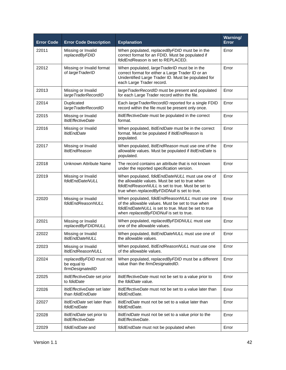| <b>Error Code</b> | <b>Error Code Description</b>                               | <b>Explanation</b>                                                                                                                                                                                    | Warning/<br><b>Error</b> |
|-------------------|-------------------------------------------------------------|-------------------------------------------------------------------------------------------------------------------------------------------------------------------------------------------------------|--------------------------|
| 22011             | Missing or Invalid<br>replacedByFDID                        | When populated, replacedByFDID must be in the<br>correct format for an FDID. Must be populated if<br>fdidEndReason is set to REPLACED.                                                                | Error                    |
| 22012             | Missing or Invalid format<br>of largeTraderID               | When populated, largeTraderID must be in the<br>correct format for either a Large Trader ID or an<br>Unidentified Large Trader ID. Must be populated for<br>each Large Trader record.                 | Error                    |
| 22013             | Missing or Invalid<br>largeTraderRecordID                   | large TraderRecordID must be present and populated<br>for each Large Trader record within the file.                                                                                                   | Error                    |
| 22014             | Duplicated<br>largeTraderRecordID                           | Each largeTraderRecordID reported for a single FDID<br>record within the file must be present only once.                                                                                              | Error                    |
| 22015             | Missing or Invalid<br><b>ItidEffectiveDate</b>              | <i>ItidEffectiveDate</i> must be populated in the correct<br>format.                                                                                                                                  | Error                    |
| 22016             | Missing or Invalid<br><b>ItidEndDate</b>                    | When populated, <i>ItidEndDate</i> must be in the correct<br>format. Must be populated if ItidEndReason is<br>populated.                                                                              | Error                    |
| 22017             | Missing or Invalid<br><b>ItidEndReason</b>                  | When populated, ItidEndReason must use one of the<br>allowable values. Must be populated if ItidEndDate is<br>populated.                                                                              | Error                    |
| 22018             | Unknown Attribute Name                                      | The record contains an attribute that is not known<br>under the reported specification version.                                                                                                       | Error                    |
| 22019             | Missing or Invalid<br>fdidEndDateNULL                       | When populated, fdidEndDateNULL must use one of<br>the allowable values. Must be set to true when<br>fdidEndReasonNULL is set to true. Must be set to<br>true when replacedByFDIDNull is set to true. | Error                    |
| 22020             | Missing or Invalid<br>fdidEndReasonNULL                     | When populated, fdidEndReasonNULL must use one<br>of the allowable values. Must be set to true when<br>fdidEndDateNULL is set to true. Must be set to true<br>when replacedByFDIDNull is set to true. | Error                    |
| 22021             | Missing or Invalid<br>replacedByFDIDNULL                    | When populated, replacedByFDIDNULL must use<br>one of the allowable values.                                                                                                                           | Error                    |
| 22022             | Missing or Invalid<br><b>ItidEndDateNULL</b>                | When populated, ItidEndDateNULL must use one of<br>the allowable values.                                                                                                                              | Error                    |
| 22023             | Missing or Invalid<br><b>ItidEndReasonNULL</b>              | When populated, ItidEndReasonNULL must use one<br>of the allowable values.                                                                                                                            | Error                    |
| 22024             | replacedByFDID must not<br>be equal to<br>firmDesignatedID  | When populated, replacedByFDID must be a different<br>value than the firmDesignatedID.                                                                                                                | Error                    |
| 22025             | <i>ItidEffectiveDate</i> set prior<br>to fdidDate           | <i>ItidEffectiveDate</i> must not be set to a value prior to<br>the <i>fdidDate</i> value.                                                                                                            | Error                    |
| 22026             | <i>ItidEffectiveDate</i> set later<br>than fdidEndDate      | <i>ItidEffectiveDate</i> must not be set to a value later than<br>fdidEndDate.                                                                                                                        | Error                    |
| 22027             | <i>ItidEndDate</i> set later than<br>fdidEndDate            | <i>ItidEndDate</i> must not be set to a value later than<br>fdidEndDate.                                                                                                                              | Error                    |
| 22028             | <i>ItidEndDate</i> set prior to<br><b>ItidEffectiveDate</b> | <i>ItidEndDate</i> must not be set to a value prior to the<br>ItidEffectiveDate.                                                                                                                      | Error                    |
| 22029             | fdidEndDate and                                             | fdidEndDate must not be populated when                                                                                                                                                                | Error                    |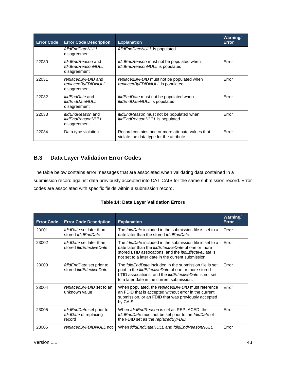| <b>Error Code</b> | <b>Error Code Description</b>                                        | <b>Explanation</b>                                                                            | <b>Warning/</b><br>Error |
|-------------------|----------------------------------------------------------------------|-----------------------------------------------------------------------------------------------|--------------------------|
|                   | fdidEndDateNULL<br>disagreement                                      | fdidEndDateNULL is populated.                                                                 |                          |
| 22030             | <i>fdidEndReason</i> and<br>fdidEndReasonNULL<br>disagreement        | fdidEndReason must not be populated when<br>fdidEndReasonNULL is populated.                   | Error                    |
| 22031             | replacedByFDID and<br>replacedByFDIDNULL<br>disagreement             | replacedByFDID must not be populated when<br>replacedByFDIDNULL is populated.                 | Error                    |
| 22032             | <i>ItidEndDate</i> and<br><b>ItidEndDateNULL</b><br>disagreement     | <i>ItidEndDate</i> must not be populated when<br><i>ItidEndDateNULL</i> is populated.         | Error                    |
| 22033             | <i>ItidEndReason</i> and<br><b>ItidEndReasonNULL</b><br>disagreement | <i>ItidEndReason</i> must not be populated when<br>ItidEndReasonNULL is populated.            | Error                    |
| 22034             | Data type violation                                                  | Record contains one or more attribute values that<br>violate the data type for the attribute. | Error                    |

# <span id="page-47-0"></span>**B.3 Data Layer Validation Error Codes**

The table below contains error messages that are associated when validating data contained in a submission record against data previously accepted into CAT CAIS for the same submission record. Error codes are associated with specific fields within a submission record.

|  |  |  | <b>Table 14: Data Layer Validation Errors</b> |  |
|--|--|--|-----------------------------------------------|--|
|--|--|--|-----------------------------------------------|--|

| <b>Error Code</b> | <b>Error Code Description</b>                                      | <b>Explanation</b>                                                                                                                                                                                                                                   | <b>Warning/</b><br><b>Error</b> |
|-------------------|--------------------------------------------------------------------|------------------------------------------------------------------------------------------------------------------------------------------------------------------------------------------------------------------------------------------------------|---------------------------------|
| 23001             | <i>fdidDate</i> set later than<br>stored fdidEndDate               | The <i>fdidDate</i> included in the submission file is set to a<br>date later than the stored folidEndDate.                                                                                                                                          | Error                           |
| 23002             | <i>fdidDate</i> set later than<br>stored <i>ItidEffectiveDate</i>  | The <i>fdidDate</i> included in the submission file is set to a<br>date later than the <i>ItidEffectiveDate</i> of one or more<br>stored LTID assocations, and the <i>ItidEffectiveDate</i> is<br>not set to a later date in the current submission. | Error                           |
| 23003             | <i>fdidEndDate</i> set prior to<br>stored <i>ItidEffectiveDate</i> | The <i>fdidEndDate</i> included in the submission file is set<br>priot to the <i>ItidEffectiveDate</i> of one or more stored<br>LTID assocations, and the ItidEffectiveDate is not set<br>to a later date in the current submission.                 | Error                           |
| 23004             | replacedByFDID set to an<br>unknown value                          | When populated, the replacedByFDID must reference<br>an FDID that is accepted without error in the current<br>submission, or an FDID that was previously accepted<br>by CAIS.                                                                        | Error                           |
| 23005             | fdidEndDate set prior to<br>fdidDate of replacing<br>record        | When fdidEndReason is set as REPLACED, the<br>fdidEndDate must not be set prior to the fdidDate of<br>the FDID set as the replacedByFDID.                                                                                                            | Error                           |
| 23006             | replacedByFDIDNULL not                                             | When fdidEndDateNULL and fdidEndReasonNULL                                                                                                                                                                                                           | Error                           |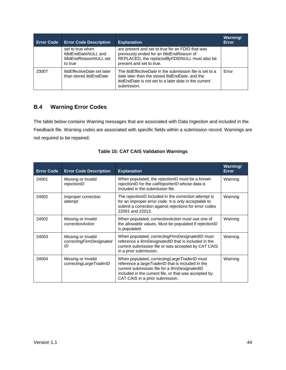| <b>Error Code</b> | <b>Error Code Description</b>                                               | <b>Explanation</b>                                                                                                                                                                                        | <b>Warning/</b><br>Error |
|-------------------|-----------------------------------------------------------------------------|-----------------------------------------------------------------------------------------------------------------------------------------------------------------------------------------------------------|--------------------------|
|                   | set to true when<br>fdidEndDateNULL and<br>fdidEndReasonNULL set<br>to true | are present and set to true for an FDID that was<br>previously ended for an fdidEndReason of<br>REPLACED, the replacedByFDIDNULL must also be<br>present and set to true.                                 |                          |
| 23007             | <i>ItidEffectiveDate</i> set later<br>than stored <i>ItidEndDate</i>        | The <i>ItidEffectiveDate</i> in the submission file is set to a<br>date later than the stored <i>ItidEndDate</i> , and the<br><i>ItidEndDate</i> is not set to a later date in the current<br>submission. | Error                    |

# <span id="page-48-0"></span>**B.4 Warning Error Codes**

The table below contains Warning messages that are associated with Data Ingestion and included in the Feedback file. Warning codes are associated with specific fields within a submission record. Warnings are not required to be repaired.

| <b>Error Code</b> | <b>Error Code Description</b>                        | <b>Explanation</b>                                                                                                                                                                                                                                     | Warning/<br><b>Error</b> |
|-------------------|------------------------------------------------------|--------------------------------------------------------------------------------------------------------------------------------------------------------------------------------------------------------------------------------------------------------|--------------------------|
| 24001             | Missing or Invalid<br>rejectionID                    | When populated, the rejectionID must be a known<br>rejectionID for the catReporterID whose data is<br>included in the submission file.                                                                                                                 | Warning                  |
| 24002             | Improper correction<br>attempt                       | The rejectionID included in the correction attempt is<br>for an improper error code. It is only acceptable to<br>submit a correction against rejections for error codes<br>22001 and 22012.                                                            | Warning                  |
| 24002             | Missing or Invalid<br>correctionAction               | When populated, <i>correctionAction</i> must use one of<br>the allowable values. Must be populated if rejectionID<br>is populated.                                                                                                                     | Warning                  |
| 24003             | Missing or Invalid<br>correctingFirmDesignated<br>ID | When populated, correcting Firm Designated ID must<br>reference a firmDesignatedID that is included in the<br>current submission file or was accepted by CAT CAIS<br>in a prior submission.                                                            | Warning                  |
| 24004             | Missing or Invalid<br>correctingLargeTraderID        | When populated, <i>correctingLargeTraderID</i> must<br>reference a largeTraderID that is included in the<br>current submission file for a firmDesignatedID<br>included in the current file, or that was accepted by<br>CAT CAIS in a prior submission. | Warning                  |

#### **Table 15: CAT CAIS Validation Warnings**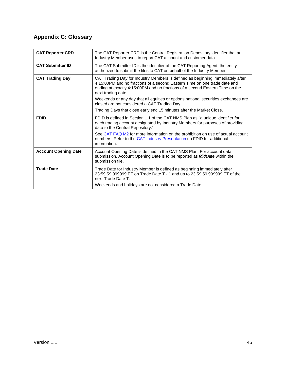# <span id="page-49-0"></span>**Appendix C: Glossary**

| <b>CAT Reporter CRD</b>     | The CAT Reporter CRD is the Central Registration Depository identifier that an<br>Industry Member uses to report CAT account and customer data.                                                                                                                   |
|-----------------------------|-------------------------------------------------------------------------------------------------------------------------------------------------------------------------------------------------------------------------------------------------------------------|
| <b>CAT Submitter ID</b>     | The CAT Submitter ID is the identifier of the CAT Reporting Agent, the entity<br>authorized to submit the files to CAT on behalf of the Industry Member.                                                                                                          |
| <b>CAT Trading Day</b>      | CAT Trading Day for Industry Members is defined as beginning immediately after<br>4:15:00PM and no fractions of a second Eastern Time on one trade date and<br>ending at exactly 4:15:00PM and no fractions of a second Eastern Time on the<br>next trading date. |
|                             | Weekends or any day that all equities or options national securities exchanges are<br>closed are not considered a CAT Trading Day.                                                                                                                                |
|                             | Trading Days that close early end 15 minutes after the Market Close.                                                                                                                                                                                              |
| <b>FDID</b>                 | FDID is defined in Section 1.1 of the CAT NMS Plan as "a unique identifier for<br>each trading account designated by Industry Members for purposes of providing<br>data to the Central Repository."                                                               |
|                             | See CAT FAQ M2 for more information on the prohibition on use of actual account<br>numbers. Refer to the CAT Industry Presentation on FDID for additional<br>information.                                                                                         |
| <b>Account Opening Date</b> | Account Opening Date is defined in the CAT NMS Plan. For account data<br>submission, Account Opening Date is to be reported as <i>fdidDate</i> within the<br>submission file.                                                                                     |
| <b>Trade Date</b>           | Trade Date for Industry Member is defined as beginning immediately after<br>23:59:59.999999 ET on Trade Date T - 1 and up to 23:59:59.999999 ET of the<br>next Trade Date T.                                                                                      |
|                             | Weekends and holidays are not considered a Trade Date.                                                                                                                                                                                                            |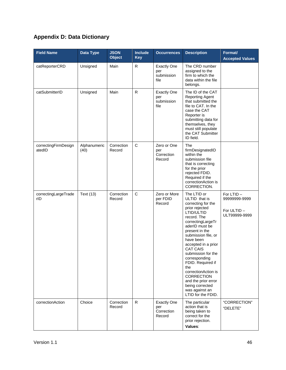# <span id="page-50-0"></span>**Appendix D: Data Dictionary**

| <b>Field Name</b>              | <b>Data Type</b>     | <b>JSON</b><br><b>Object</b> | Include<br><b>Key</b> | <b>Occurrences</b>                                | <b>Description</b>                                                                                                                                                                                                                                                                                                                                                                                                                        | Format/<br><b>Accepted Values</b>                         |
|--------------------------------|----------------------|------------------------------|-----------------------|---------------------------------------------------|-------------------------------------------------------------------------------------------------------------------------------------------------------------------------------------------------------------------------------------------------------------------------------------------------------------------------------------------------------------------------------------------------------------------------------------------|-----------------------------------------------------------|
| catReporterCRD                 | Unsigned             | Main                         | R                     | <b>Exactly One</b><br>per<br>submission<br>file   | The CRD number<br>assigned to the<br>firm to which the<br>data within the file<br>belongs.                                                                                                                                                                                                                                                                                                                                                |                                                           |
| catSubmitterID                 | Unsigned             | Main                         | $\mathsf{R}$          | <b>Exactly One</b><br>per<br>submission<br>file   | The ID of the CAT<br><b>Reporting Agent</b><br>that submitted the<br>file to CAT. In the<br>case the CAT<br>Reporter is<br>submitting data for<br>themselves, they<br>must still populate<br>the CAT Submitter<br>ID field.                                                                                                                                                                                                               |                                                           |
| correctingFirmDesign<br>atedID | Alphanumeric<br>(40) | Correction<br>Record         | $\mathsf{C}$          | Zero or One<br>per<br>Correction<br>Record        | The<br>firmDesignatedID<br>within the<br>submission file<br>that is correcting<br>for the prior<br>rejected FDID.<br>Required if the<br>correctionAction is<br>CORRECTION.                                                                                                                                                                                                                                                                |                                                           |
| correctingLargeTrade<br>rID    | Text (13)            | Correction<br>Record         | $\mathsf{C}$          | Zero or More<br>per FDID<br>Record                | The LTID or<br>ULTID that is<br>correcting for the<br>prior rejected<br>LTID/ULTID<br>record. The<br>correctingLargeTr<br>aderID must be<br>present in the<br>submission file, or<br>have been<br>accepted in a prior<br><b>CAT CAIS</b><br>submission for the<br>corresponding<br>FDID. Required if<br>the<br>correctionAction is<br><b>CORRECTION</b><br>and the prior error<br>being corrected<br>was against an<br>LTID for the FDID. | For LTID-<br>99999999-9999<br>For ULTID-<br>ULT99999-9999 |
| correctionAction               | Choice               | Correction<br>Record         | $\mathsf{R}$          | <b>Exactly One</b><br>per<br>Correction<br>Record | The particular<br>action that is<br>being taken to<br>correct for the<br>prior rejection.<br>Values:                                                                                                                                                                                                                                                                                                                                      | "CORRECTION"<br>"DELETE"                                  |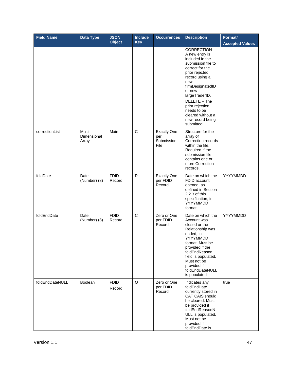| <b>Field Name</b> | <b>Data Type</b>               | <b>JSON</b><br><b>Object</b> | <b>Include</b><br><b>Key</b> | <b>Occurrences</b>                              | <b>Description</b>                                                                                                                                                                                                                                                                            | Format/<br><b>Accepted Values</b> |
|-------------------|--------------------------------|------------------------------|------------------------------|-------------------------------------------------|-----------------------------------------------------------------------------------------------------------------------------------------------------------------------------------------------------------------------------------------------------------------------------------------------|-----------------------------------|
|                   |                                |                              |                              |                                                 | CORRECTION-<br>A new entry is<br>included in the<br>submission file to<br>correct for the<br>prior rejected<br>record using a<br>new<br>firmDesignatedID<br>or new<br>largeTraderID.<br>DELETE - The<br>prior rejection<br>needs to be<br>cleared without a<br>new record being<br>submitted. |                                   |
| correctionList    | Multi-<br>Dimensional<br>Array | Main                         | $\mathsf{C}$                 | <b>Exactly One</b><br>per<br>Submission<br>File | Structure for the<br>array of<br>Correction records<br>within the file.<br>Required if the<br>submission file<br>contains one or<br>more Correction<br>records.                                                                                                                               |                                   |
| fdidDate          | Date<br>(Number) (8)           | <b>FDID</b><br>Record        | ${\sf R}$                    | <b>Exactly One</b><br>per FDID<br>Record        | Date on which the<br>FDID account<br>opened, as<br>defined in Section<br>2.2.3 of this<br>specification, in<br>YYYYMMDD<br>format.                                                                                                                                                            | YYYYMMDD                          |
| fdidEndDate       | Date<br>(Number) (8)           | <b>FDID</b><br>Record        | C                            | Zero or One<br>per FDID<br>Record               | Date on which the<br>Account was<br>closed or the<br>Relationship was<br>ended, in<br>YYYYMMDD<br>format. Must be<br>provided if the<br>fdidEndReason<br>field is populated.<br>Must not be<br>provided if<br>fdidEndDateNULL<br>is populated.                                                | YYYYMMDD                          |
| fdidEndDateNULL   | Boolean                        | <b>FDID</b><br>Record        | O                            | Zero or One<br>per FDID<br>Record               | Indicates any<br>fdidEndDate<br>currently stored in<br><b>CAT CAIS should</b><br>be cleared. Must<br>be provided if<br>fdidEndReasonN<br>ULL is populated.<br>Must not be<br>provided if<br>fdidEndDate is                                                                                    | true                              |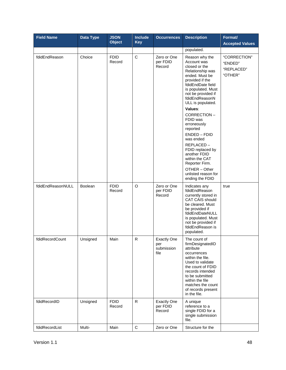| <b>Field Name</b> | Data Type | <b>JSON</b><br><b>Object</b> | <b>Include</b><br><b>Key</b> | <b>Occurrences</b>                              | <b>Description</b>                                                                                                                                                                                                                             | Format/<br><b>Accepted Values</b>                |
|-------------------|-----------|------------------------------|------------------------------|-------------------------------------------------|------------------------------------------------------------------------------------------------------------------------------------------------------------------------------------------------------------------------------------------------|--------------------------------------------------|
|                   |           |                              |                              |                                                 | populated.                                                                                                                                                                                                                                     |                                                  |
| fdidEndReason     | Choice    | <b>FDID</b><br>Record        | $\mathbf C$                  | Zero or One<br>per FDID<br>Record               | Reason why the<br>Account was<br>closed or the<br>Relationship was<br>ended. Must be<br>provided if the<br>fdidEndDate field<br>is populated. Must<br>not be provided if<br>fdidEndReasonN<br>ULL is populated.<br>Values:                     | "CORRECTION"<br>"ENDED"<br>"REPLACED"<br>"OTHER" |
|                   |           |                              |                              |                                                 | CORRECTION-<br>FDID was<br>erroneously<br>reported<br>ENDED - FDID                                                                                                                                                                             |                                                  |
|                   |           |                              |                              |                                                 | was ended<br>REPLACED-<br>FDID replaced by<br>another FDID<br>within the CAT<br>Reporter Firm.<br>OTHER - Other<br>unlisted reason for<br>ending the FDID                                                                                      |                                                  |
| fdidEndReasonNULL | Boolean   | <b>FDID</b><br>Record        | O                            | Zero or One<br>per FDID<br>Record               | Indicates any<br>fdidEndReason<br>currently stored in<br>CAT CAIS should<br>be cleared. Must<br>be provided if<br>fdidEndDateNULL<br>is populated. Must<br>not be provided if<br>fdidEndReason is<br>populated.                                | true                                             |
| fdidRecordCount   | Unsigned  | Main                         | R                            | <b>Exactly One</b><br>per<br>submission<br>file | The count of<br>firmDesignatedID<br>attribute<br>occurrences<br>within the file.<br>Used to validate<br>the count of FDID<br>records intended<br>to be submitted<br>within the file<br>matches the count<br>of records present<br>in the file. |                                                  |
| fdidRecordID      | Unsigned  | <b>FDID</b><br>Record        | $\mathsf{R}$                 | <b>Exactly One</b><br>per FDID<br>Record        | A unique<br>reference to a<br>single FDID for a<br>single submission<br>file.                                                                                                                                                                  |                                                  |
| fdidRecordList    | Multi-    | Main                         | $\mathsf C$                  | Zero or One                                     | Structure for the                                                                                                                                                                                                                              |                                                  |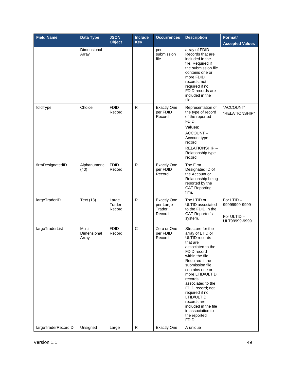| <b>Field Name</b>   | <b>Data Type</b>               | <b>JSON</b><br><b>Object</b> | <b>Include</b><br>Key | <b>Occurrences</b>                                  | <b>Description</b>                                                                                                                                                                                                                                                                                                                                                              | Format/<br><b>Accepted Values</b>                          |
|---------------------|--------------------------------|------------------------------|-----------------------|-----------------------------------------------------|---------------------------------------------------------------------------------------------------------------------------------------------------------------------------------------------------------------------------------------------------------------------------------------------------------------------------------------------------------------------------------|------------------------------------------------------------|
|                     | Dimensional<br>Array           |                              |                       | per<br>submission<br>file                           | array of FDID<br>Records that are<br>included in the<br>file. Required if<br>the submission file<br>contains one or<br>more FDID<br>records; not<br>required if no<br>FDID records are<br>included in the<br>file.                                                                                                                                                              |                                                            |
| fdidType            | Choice                         | <b>FDID</b><br>Record        | R                     | <b>Exactly One</b><br>per FDID<br>Record            | Representation of<br>the type of record<br>of the reported<br>FDID.<br>Values:<br>ACCOUNT-<br>Account type<br>record<br>RELATIONSHIP-<br>Relationship type<br>record                                                                                                                                                                                                            | "ACCOUNT"<br>"RELATIONSHIP"                                |
| firmDesignatedID    | Alphanumeric<br>(40)           | <b>FDID</b><br>Record        | $\mathsf{R}$          | <b>Exactly One</b><br>per FDID<br>Record            | The Firm<br>Designated ID of<br>the Account or<br>Relationship being<br>reported by the<br><b>CAT Reporting</b><br>firm.                                                                                                                                                                                                                                                        |                                                            |
| largeTraderID       | Text (13)                      | Large<br>Trader<br>Record    | R                     | <b>Exactly One</b><br>per Large<br>Trader<br>Record | The LTID or<br>ULTID associated<br>to the FDID in the<br><b>CAT Reporter's</b><br>system.                                                                                                                                                                                                                                                                                       | For LTID-<br>99999999-9999<br>For ULTID -<br>ULT99999-9999 |
| largeTraderList     | Multi-<br>Dimensional<br>Array | <b>FDID</b><br>Record        | $\mathsf C$           | Zero or One<br>per FDID<br>Record                   | Structure for the<br>array of LTID or<br>ULTID records<br>that are<br>associated to the<br>FDID record<br>within the file.<br>Required if the<br>submission file<br>contains one or<br>more LTID/ULTID<br>records<br>associated to the<br>FDID record; not<br>required if no<br>LTID/ULTID<br>records are<br>included in the file<br>in association to<br>the reported<br>FDID. |                                                            |
| largeTraderRecordID | Unsigned                       | Large                        | ${\sf R}$             | <b>Exactly One</b>                                  | A unique                                                                                                                                                                                                                                                                                                                                                                        |                                                            |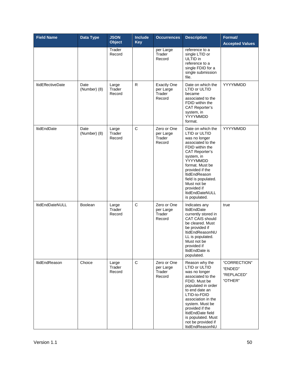| <b>Field Name</b>        | Data Type            | <b>JSON</b><br><b>Object</b> | <b>Include</b><br><b>Key</b> | <b>Occurrences</b>                                  | <b>Description</b>                                                                                                                                                                                                                                                                                    | Format/<br><b>Accepted Values</b>                |
|--------------------------|----------------------|------------------------------|------------------------------|-----------------------------------------------------|-------------------------------------------------------------------------------------------------------------------------------------------------------------------------------------------------------------------------------------------------------------------------------------------------------|--------------------------------------------------|
|                          |                      | Trader<br>Record             |                              | per Large<br>Trader<br>Record                       | reference to a<br>single LTID or<br>ULTID in<br>reference to a<br>single FDID for a<br>single submission<br>file.                                                                                                                                                                                     |                                                  |
| <b>ItidEffectiveDate</b> | Date<br>(Number) (8) | Large<br>Trader<br>Record    | R                            | <b>Exactly One</b><br>per Large<br>Trader<br>Record | Date on which the<br><b>LTID or ULTID</b><br>became<br>associated to the<br>FDID within the<br><b>CAT Reporter's</b><br>system, in<br>YYYYMMDD<br>format.                                                                                                                                             | YYYYMMDD                                         |
| <b>ItidEndDate</b>       | Date<br>(Number) (8) | Large<br>Trader<br>Record    | $\mathsf C$                  | Zero or One<br>per Large<br>Trader<br>Record        | Date on which the<br>LTID or ULTID<br>was no longer<br>associated to the<br>FDID within the<br><b>CAT Reporter's</b><br>system, in<br>YYYYMMDD<br>format. Must be<br>provided if the<br>ltidEndReason<br>field is populated.<br>Must not be<br>provided if<br><b>ItidEndDateNULL</b><br>is populated. | YYYYMMDD                                         |
| ltidEndDateNULL          | <b>Boolean</b>       | Large<br>Trader<br>Record    | C                            | Zero or One<br>per Large<br>Trader<br>Record        | Indicates any<br><b>ItidEndDate</b><br>currently stored in<br><b>CAT CAIS should</b><br>be cleared. Must<br>be provided if<br>ItidEndReasonNU<br>LL is populated.<br>Must not be<br>provided if<br>ItidEndDate is<br>populated.                                                                       | true                                             |
| ItidEndReason            | Choice               | Large<br>Trader<br>Record    | C                            | Zero or One<br>per Large<br>Trader<br>Record        | Reason why the<br>LTID or ULTID<br>was no longer<br>associated to the<br>FDID. Must be<br>populated in order<br>to end date an<br>LTID-to-FDID<br>association in the<br>system. Must be<br>provided if the<br>ItidEndDate field<br>is populated. Must<br>not be provided if<br>ItidEndReasonNU        | "CORRECTION"<br>"ENDED"<br>"REPLACED"<br>"OTHER" |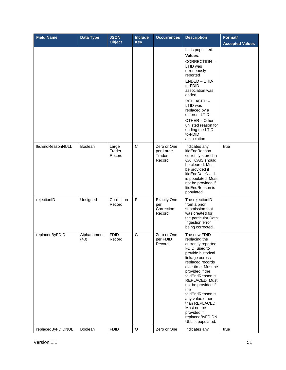| <b>Field Name</b>        | Data Type            | <b>JSON</b><br><b>Object</b> | <b>Include</b><br><b>Key</b> | <b>Occurrences</b>                                | <b>Description</b>                                                                                                                                                                                                                                                                                                                                                          | Format/<br><b>Accepted Values</b> |
|--------------------------|----------------------|------------------------------|------------------------------|---------------------------------------------------|-----------------------------------------------------------------------------------------------------------------------------------------------------------------------------------------------------------------------------------------------------------------------------------------------------------------------------------------------------------------------------|-----------------------------------|
|                          |                      |                              |                              |                                                   | LL is populated.<br>Values:<br>CORRECTION-<br>LTID was<br>erroneously<br>reported<br>ENDED - LTID-<br>to-FDID<br>association was<br>ended<br>REPLACED-<br>LTID was<br>replaced by a<br>different LTID<br>OTHER - Other<br>unlisted reason for<br>ending the LTID-<br>to-FDID<br>association                                                                                 |                                   |
| <b>ItidEndReasonNULL</b> | <b>Boolean</b>       | Large<br>Trader<br>Record    | C                            | Zero or One<br>per Large<br>Trader<br>Record      | Indicates any<br>ItidEndReason<br>currently stored in<br><b>CAT CAIS should</b><br>be cleared. Must<br>be provided if<br>ItidEndDateNULL<br>is populated. Must<br>not be provided if<br>ItidEndReason is<br>populated.                                                                                                                                                      | true                              |
| rejectionID              | Unsigned             | Correction<br>Record         | R.                           | <b>Exactly One</b><br>per<br>Correction<br>Record | The rejectionID<br>from a prior<br>submission that<br>was created for<br>the particular Data<br>Ingestion error<br>being corrected.                                                                                                                                                                                                                                         |                                   |
| replacedByFDID           | Alphanumeric<br>(40) | <b>FDID</b><br>Record        | C                            | Zero or One<br>per FDID<br>Record                 | The new FDID<br>replacing the<br>currently reported<br>FDID, used to<br>provide historical<br>linkage across<br>replaced records<br>over time. Must be<br>provided if the<br>fdidEndReason is<br>REPLACED. Must<br>not be provided if<br>the<br>fdidEndReason is<br>any value other<br>than REPLACED.<br>Must not be<br>provided if<br>replacedByFDIDN<br>ULL is populated. |                                   |
| replacedByFDIDNUL        | Boolean              | <b>FDID</b>                  | $\mathsf O$                  | Zero or One                                       | Indicates any                                                                                                                                                                                                                                                                                                                                                               | true                              |